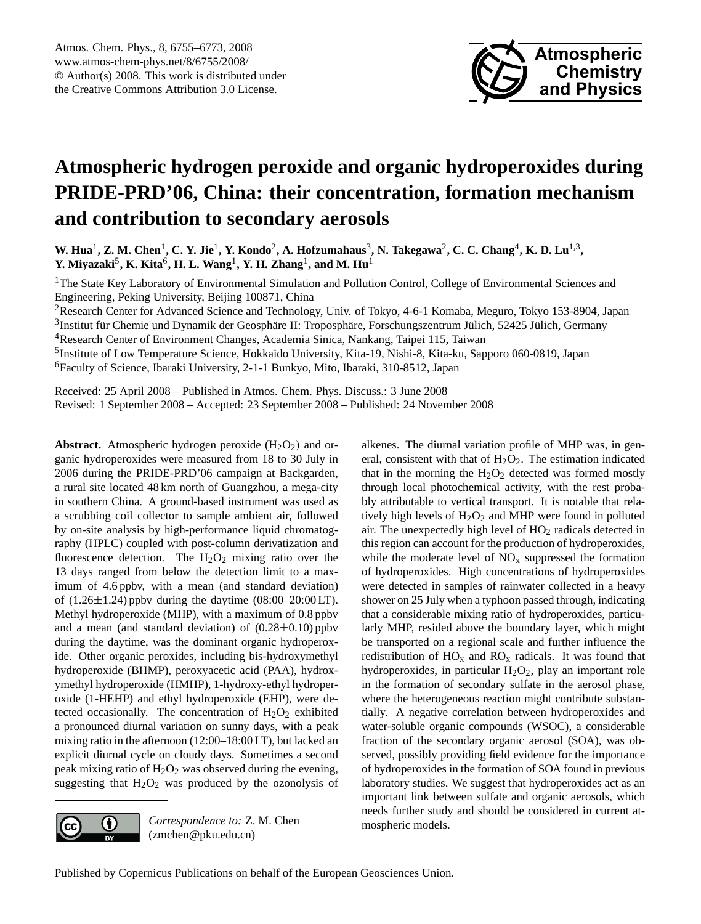

# <span id="page-0-0"></span>**Atmospheric hydrogen peroxide and organic hydroperoxides during PRIDE-PRD'06, China: their concentration, formation mechanism and contribution to secondary aerosols**

**W. Hua<sup>1</sup>, Z. M. Chen<sup>1</sup>, C. Y. Jie<sup>1</sup>, Y. Kondo<sup>2</sup>, A. Hofzumahaus<sup>3</sup>, N. Takegawa<sup>2</sup>, C. C. Chang<sup>4</sup>, K. D. Lu<sup>1,3</sup>, Y.** Miyazaki<sup>5</sup>, **K.** Kita<sup>6</sup>, **H. L.** Wang<sup>1</sup>, **Y. H. Z**hang<sup>1</sup>, and M. Hu<sup>1</sup>

<sup>1</sup>The State Key Laboratory of Environmental Simulation and Pollution Control, College of Environmental Sciences and Engineering, Peking University, Beijing 100871, China

<sup>2</sup>Research Center for Advanced Science and Technology, Univ. of Tokyo, 4-6-1 Komaba, Meguro, Tokyo 153-8904, Japan

 $3$ Institut für Chemie und Dynamik der Geosphäre II: Troposphäre, Forschungszentrum Jülich, 52425 Jülich, Germany <sup>4</sup>Research Center of Environment Changes, Academia Sinica, Nankang, Taipei 115, Taiwan

<sup>5</sup>Institute of Low Temperature Science, Hokkaido University, Kita-19, Nishi-8, Kita-ku, Sapporo 060-0819, Japan <sup>6</sup>Faculty of Science, Ibaraki University, 2-1-1 Bunkyo, Mito, Ibaraki, 310-8512, Japan

Received: 25 April 2008 – Published in Atmos. Chem. Phys. Discuss.: 3 June 2008 Revised: 1 September 2008 – Accepted: 23 September 2008 – Published: 24 November 2008

**Abstract.** Atmospheric hydrogen peroxide  $(H_2O_2)$  and organic hydroperoxides were measured from 18 to 30 July in 2006 during the PRIDE-PRD'06 campaign at Backgarden, a rural site located 48 km north of Guangzhou, a mega-city in southern China. A ground-based instrument was used as a scrubbing coil collector to sample ambient air, followed by on-site analysis by high-performance liquid chromatography (HPLC) coupled with post-column derivatization and fluorescence detection. The  $H_2O_2$  mixing ratio over the 13 days ranged from below the detection limit to a maximum of 4.6 ppbv, with a mean (and standard deviation) of  $(1.26 \pm 1.24)$  ppby during the daytime  $(08:00-20:00 \text{ LT})$ . Methyl hydroperoxide (MHP), with a maximum of 0.8 ppbv and a mean (and standard deviation) of  $(0.28\pm0.10)$  ppbv during the daytime, was the dominant organic hydroperoxide. Other organic peroxides, including bis-hydroxymethyl hydroperoxide (BHMP), peroxyacetic acid (PAA), hydroxymethyl hydroperoxide (HMHP), 1-hydroxy-ethyl hydroperoxide (1-HEHP) and ethyl hydroperoxide (EHP), were detected occasionally. The concentration of  $H_2O_2$  exhibited a pronounced diurnal variation on sunny days, with a peak mixing ratio in the afternoon (12:00–18:00 LT), but lacked an explicit diurnal cycle on cloudy days. Sometimes a second peak mixing ratio of  $H_2O_2$  was observed during the evening, suggesting that  $H_2O_2$  was produced by the ozonolysis of



*Correspondence to:* Z. M. Chen (zmchen@pku.edu.cn)

alkenes. The diurnal variation profile of MHP was, in general, consistent with that of  $H_2O_2$ . The estimation indicated that in the morning the  $H_2O_2$  detected was formed mostly through local photochemical activity, with the rest probably attributable to vertical transport. It is notable that relatively high levels of  $H_2O_2$  and MHP were found in polluted air. The unexpectedly high level of  $HO<sub>2</sub>$  radicals detected in this region can account for the production of hydroperoxides, while the moderate level of  $NO<sub>x</sub>$  suppressed the formation of hydroperoxides. High concentrations of hydroperoxides were detected in samples of rainwater collected in a heavy shower on 25 July when a typhoon passed through, indicating that a considerable mixing ratio of hydroperoxides, particularly MHP, resided above the boundary layer, which might be transported on a regional scale and further influence the redistribution of  $HO_x$  and  $RO_x$  radicals. It was found that hydroperoxides, in particular  $H_2O_2$ , play an important role in the formation of secondary sulfate in the aerosol phase, where the heterogeneous reaction might contribute substantially. A negative correlation between hydroperoxides and water-soluble organic compounds (WSOC), a considerable fraction of the secondary organic aerosol (SOA), was observed, possibly providing field evidence for the importance of hydroperoxides in the formation of SOA found in previous laboratory studies. We suggest that hydroperoxides act as an important link between sulfate and organic aerosols, which needs further study and should be considered in current atmospheric models.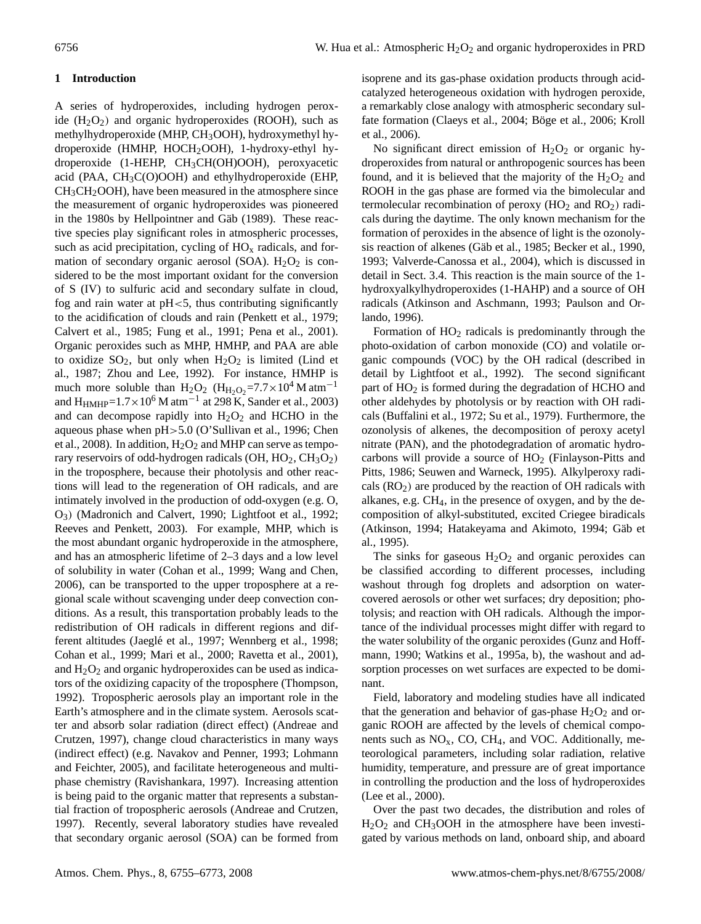## **1 Introduction**

A series of hydroperoxides, including hydrogen peroxide  $(H<sub>2</sub>O<sub>2</sub>)$  and organic hydroperoxides (ROOH), such as methylhydroperoxide (MHP, CH<sub>3</sub>OOH), hydroxymethyl hydroperoxide (HMHP, HOCH2OOH), 1-hydroxy-ethyl hydroperoxide (1-HEHP, CH3CH(OH)OOH), peroxyacetic acid (PAA,  $CH<sub>3</sub>C(O)OOH$ ) and ethylhydroperoxide (EHP,  $CH<sub>3</sub>CH<sub>2</sub>OOH$ , have been measured in the atmosphere since the measurement of organic hydroperoxides was pioneered in the 1980s by Hellpointner and Gäb (1989). These reactive species play significant roles in atmospheric processes, such as acid precipitation, cycling of  $HO<sub>x</sub>$  radicals, and formation of secondary organic aerosol (SOA).  $H_2O_2$  is considered to be the most important oxidant for the conversion of S (IV) to sulfuric acid and secondary sulfate in cloud, fog and rain water at  $pH < 5$ , thus contributing significantly to the acidification of clouds and rain (Penkett et al., 1979; Calvert et al., 1985; Fung et al., 1991; Pena et al., 2001). Organic peroxides such as MHP, HMHP, and PAA are able to oxidize  $SO_2$ , but only when  $H_2O_2$  is limited (Lind et al., 1987; Zhou and Lee, 1992). For instance, HMHP is much more soluble than H<sub>2</sub>O<sub>2</sub> (H<sub>H2O2</sub>=7.7×10<sup>4</sup> M atm<sup>-1</sup> and  $H_{HMHP}=1.7\times10^6$  M atm<sup>-1</sup> at 298 K, Sander et al., 2003) and can decompose rapidly into  $H_2O_2$  and HCHO in the aqueous phase when pH>5.0 (O'Sullivan et al., 1996; Chen et al., 2008). In addition,  $H_2O_2$  and MHP can serve as temporary reservoirs of odd-hydrogen radicals  $(OH, HO<sub>2</sub>, CH<sub>3</sub>O<sub>2</sub>)$ in the troposphere, because their photolysis and other reactions will lead to the regeneration of OH radicals, and are intimately involved in the production of odd-oxygen (e.g. O, O3) (Madronich and Calvert, 1990; Lightfoot et al., 1992; Reeves and Penkett, 2003). For example, MHP, which is the most abundant organic hydroperoxide in the atmosphere, and has an atmospheric lifetime of 2–3 days and a low level of solubility in water (Cohan et al., 1999; Wang and Chen, 2006), can be transported to the upper troposphere at a regional scale without scavenging under deep convection conditions. As a result, this transportation probably leads to the redistribution of OH radicals in different regions and different altitudes (Jaeglé et al., 1997; Wennberg et al., 1998; Cohan et al., 1999; Mari et al., 2000; Ravetta et al., 2001), and  $H_2O_2$  and organic hydroperoxides can be used as indicators of the oxidizing capacity of the troposphere (Thompson, 1992). Tropospheric aerosols play an important role in the Earth's atmosphere and in the climate system. Aerosols scatter and absorb solar radiation (direct effect) (Andreae and Crutzen, 1997), change cloud characteristics in many ways (indirect effect) (e.g. Navakov and Penner, 1993; Lohmann and Feichter, 2005), and facilitate heterogeneous and multiphase chemistry (Ravishankara, 1997). Increasing attention is being paid to the organic matter that represents a substantial fraction of tropospheric aerosols (Andreae and Crutzen, 1997). Recently, several laboratory studies have revealed that secondary organic aerosol (SOA) can be formed from isoprene and its gas-phase oxidation products through acidcatalyzed heterogeneous oxidation with hydrogen peroxide, a remarkably close analogy with atmospheric secondary sulfate formation (Claeys et al., 2004; Böge et al., 2006; Kroll et al., 2006).

No significant direct emission of  $H_2O_2$  or organic hydroperoxides from natural or anthropogenic sources has been found, and it is believed that the majority of the  $H_2O_2$  and ROOH in the gas phase are formed via the bimolecular and termolecular recombination of peroxy  $(HO<sub>2</sub>)$  and  $RO<sub>2</sub>)$  radicals during the daytime. The only known mechanism for the formation of peroxides in the absence of light is the ozonolysis reaction of alkenes (Gäb et al., 1985; Becker et al., 1990, 1993; Valverde-Canossa et al., 2004), which is discussed in detail in Sect. 3.4. This reaction is the main source of the 1 hydroxyalkylhydroperoxides (1-HAHP) and a source of OH radicals (Atkinson and Aschmann, 1993; Paulson and Orlando, 1996).

Formation of  $HO<sub>2</sub>$  radicals is predominantly through the photo-oxidation of carbon monoxide (CO) and volatile organic compounds (VOC) by the OH radical (described in detail by Lightfoot et al., 1992). The second significant part of  $HO<sub>2</sub>$  is formed during the degradation of HCHO and other aldehydes by photolysis or by reaction with OH radicals (Buffalini et al., 1972; Su et al., 1979). Furthermore, the ozonolysis of alkenes, the decomposition of peroxy acetyl nitrate (PAN), and the photodegradation of aromatic hydrocarbons will provide a source of  $HO<sub>2</sub>$  (Finlayson-Pitts and Pitts, 1986; Seuwen and Warneck, 1995). Alkylperoxy radicals  $(RO<sub>2</sub>)$  are produced by the reaction of OH radicals with alkanes, e.g.  $CH<sub>4</sub>$ , in the presence of oxygen, and by the decomposition of alkyl-substituted, excited Criegee biradicals (Atkinson, 1994; Hatakeyama and Akimoto, 1994; Gäb et al., 1995).

The sinks for gaseous  $H_2O_2$  and organic peroxides can be classified according to different processes, including washout through fog droplets and adsorption on watercovered aerosols or other wet surfaces; dry deposition; photolysis; and reaction with OH radicals. Although the importance of the individual processes might differ with regard to the water solubility of the organic peroxides (Gunz and Hoffmann, 1990; Watkins et al., 1995a, b), the washout and adsorption processes on wet surfaces are expected to be dominant.

Field, laboratory and modeling studies have all indicated that the generation and behavior of gas-phase  $H_2O_2$  and organic ROOH are affected by the levels of chemical components such as  $NO<sub>x</sub>$ , CO, CH<sub>4</sub>, and VOC. Additionally, meteorological parameters, including solar radiation, relative humidity, temperature, and pressure are of great importance in controlling the production and the loss of hydroperoxides (Lee et al., 2000).

Over the past two decades, the distribution and roles of  $H<sub>2</sub>O<sub>2</sub>$  and CH<sub>3</sub>OOH in the atmosphere have been investigated by various methods on land, onboard ship, and aboard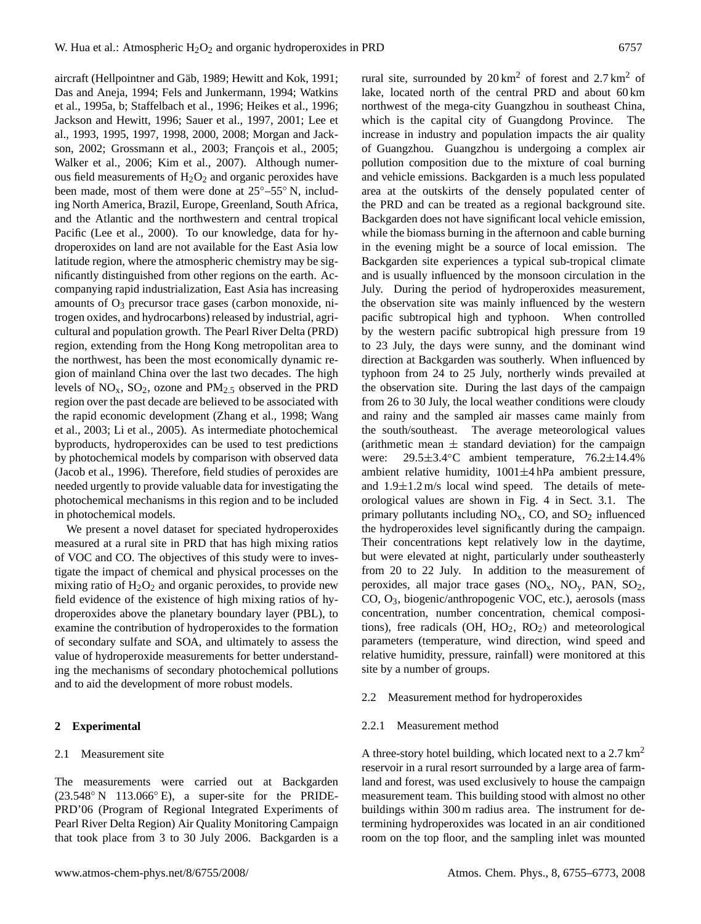aircraft (Hellpointner and Gäb, 1989; Hewitt and Kok, 1991; Das and Aneja, 1994; Fels and Junkermann, 1994; Watkins et al., 1995a, b; Staffelbach et al., 1996; Heikes et al., 1996; Jackson and Hewitt, 1996; Sauer et al., 1997, 2001; Lee et al., 1993, 1995, 1997, 1998, 2000, 2008; Morgan and Jackson, 2002; Grossmann et al., 2003; François et al., 2005; Walker et al., 2006; Kim et al., 2007). Although numerous field measurements of  $H_2O_2$  and organic peroxides have been made, most of them were done at 25◦–55◦ N, including North America, Brazil, Europe, Greenland, South Africa, and the Atlantic and the northwestern and central tropical Pacific (Lee et al., 2000). To our knowledge, data for hydroperoxides on land are not available for the East Asia low latitude region, where the atmospheric chemistry may be significantly distinguished from other regions on the earth. Accompanying rapid industrialization, East Asia has increasing amounts of  $O_3$  precursor trace gases (carbon monoxide, nitrogen oxides, and hydrocarbons) released by industrial, agricultural and population growth. The Pearl River Delta (PRD) region, extending from the Hong Kong metropolitan area to the northwest, has been the most economically dynamic region of mainland China over the last two decades. The high levels of  $NO<sub>x</sub>$ ,  $SO<sub>2</sub>$ , ozone and  $PM<sub>2.5</sub>$  observed in the PRD region over the past decade are believed to be associated with the rapid economic development (Zhang et al., 1998; Wang et al., 2003; Li et al., 2005). As intermediate photochemical byproducts, hydroperoxides can be used to test predictions by photochemical models by comparison with observed data (Jacob et al., 1996). Therefore, field studies of peroxides are needed urgently to provide valuable data for investigating the photochemical mechanisms in this region and to be included in photochemical models.

We present a novel dataset for speciated hydroperoxides measured at a rural site in PRD that has high mixing ratios of VOC and CO. The objectives of this study were to investigate the impact of chemical and physical processes on the mixing ratio of  $H_2O_2$  and organic peroxides, to provide new field evidence of the existence of high mixing ratios of hydroperoxides above the planetary boundary layer (PBL), to examine the contribution of hydroperoxides to the formation of secondary sulfate and SOA, and ultimately to assess the value of hydroperoxide measurements for better understanding the mechanisms of secondary photochemical pollutions and to aid the development of more robust models.

## **2 Experimental**

#### 2.1 Measurement site

The measurements were carried out at Backgarden (23.548◦ N 113.066◦ E), a super-site for the PRIDE-PRD'06 (Program of Regional Integrated Experiments of Pearl River Delta Region) Air Quality Monitoring Campaign that took place from 3 to 30 July 2006. Backgarden is a rural site, surrounded by  $20 \text{ km}^2$  of forest and  $2.7 \text{ km}^2$  of lake, located north of the central PRD and about 60 km northwest of the mega-city Guangzhou in southeast China, which is the capital city of Guangdong Province. The increase in industry and population impacts the air quality of Guangzhou. Guangzhou is undergoing a complex air pollution composition due to the mixture of coal burning and vehicle emissions. Backgarden is a much less populated area at the outskirts of the densely populated center of the PRD and can be treated as a regional background site. Backgarden does not have significant local vehicle emission, while the biomass burning in the afternoon and cable burning in the evening might be a source of local emission. The Backgarden site experiences a typical sub-tropical climate and is usually influenced by the monsoon circulation in the July. During the period of hydroperoxides measurement, the observation site was mainly influenced by the western pacific subtropical high and typhoon. When controlled by the western pacific subtropical high pressure from 19 to 23 July, the days were sunny, and the dominant wind direction at Backgarden was southerly. When influenced by typhoon from 24 to 25 July, northerly winds prevailed at the observation site. During the last days of the campaign from 26 to 30 July, the local weather conditions were cloudy and rainy and the sampled air masses came mainly from the south/southeast. The average meteorological values (arithmetic mean  $\pm$  standard deviation) for the campaign were: 29.5±3.4◦C ambient temperature, 76.2±14.4% ambient relative humidity, 1001±4 hPa ambient pressure, and  $1.9 \pm 1.2$  m/s local wind speed. The details of meteorological values are shown in Fig. 4 in Sect. 3.1. The primary pollutants including  $NO<sub>x</sub>$ , CO, and  $SO<sub>2</sub>$  influenced the hydroperoxides level significantly during the campaign. Their concentrations kept relatively low in the daytime, but were elevated at night, particularly under southeasterly from 20 to 22 July. In addition to the measurement of peroxides, all major trace gases  $(NO<sub>x</sub>, NO<sub>y</sub>, PAN, SO<sub>2</sub>,$ CO, O3, biogenic/anthropogenic VOC, etc.), aerosols (mass concentration, number concentration, chemical compositions), free radicals (OH,  $HO_2$ ,  $RO_2$ ) and meteorological parameters (temperature, wind direction, wind speed and relative humidity, pressure, rainfall) were monitored at this site by a number of groups.

#### 2.2 Measurement method for hydroperoxides

#### 2.2.1 Measurement method

A three-story hotel building, which located next to a 2.7 km<sup>2</sup> reservoir in a rural resort surrounded by a large area of farmland and forest, was used exclusively to house the campaign measurement team. This building stood with almost no other buildings within 300 m radius area. The instrument for determining hydroperoxides was located in an air conditioned room on the top floor, and the sampling inlet was mounted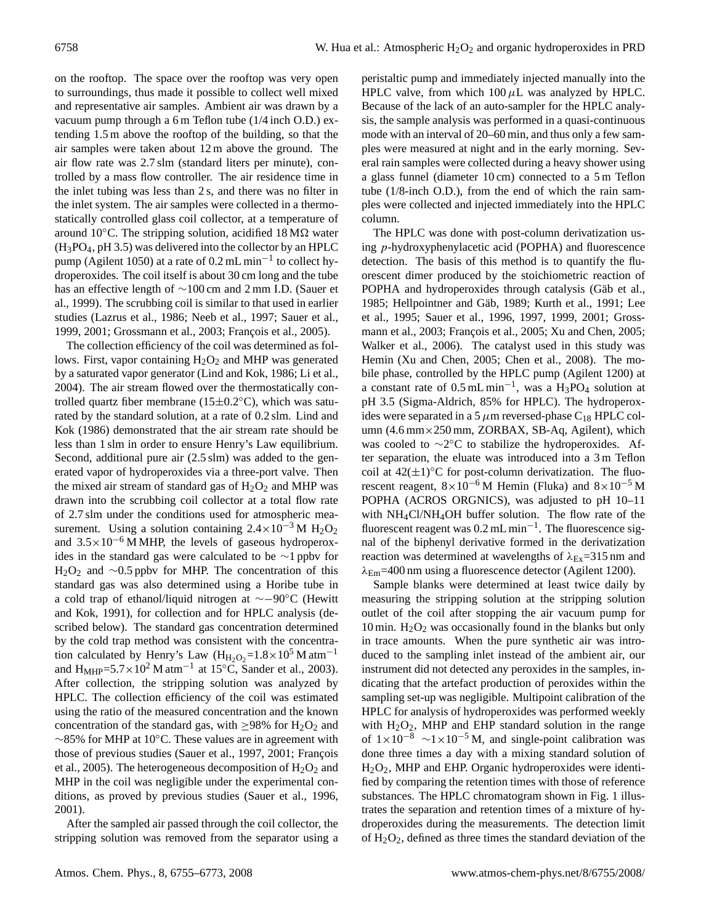on the rooftop. The space over the rooftop was very open to surroundings, thus made it possible to collect well mixed and representative air samples. Ambient air was drawn by a vacuum pump through a 6 m Teflon tube (1/4 inch O.D.) extending 1.5 m above the rooftop of the building, so that the air samples were taken about 12 m above the ground. The air flow rate was 2.7 slm (standard liters per minute), controlled by a mass flow controller. The air residence time in the inlet tubing was less than 2 s, and there was no filter in the inlet system. The air samples were collected in a thermostatically controlled glass coil collector, at a temperature of around 10 $^{\circ}$ C. The stripping solution, acidified 18 M $\Omega$  water (H3PO4, pH 3.5) was delivered into the collector by an HPLC pump (Agilent 1050) at a rate of 0.2 mL min<sup>-1</sup> to collect hydroperoxides. The coil itself is about 30 cm long and the tube has an effective length of ∼100 cm and 2 mm I.D. (Sauer et al., 1999). The scrubbing coil is similar to that used in earlier studies (Lazrus et al., 1986; Neeb et al., 1997; Sauer et al., 1999, 2001; Grossmann et al., 2003; François et al., 2005).

The collection efficiency of the coil was determined as follows. First, vapor containing  $H_2O_2$  and MHP was generated by a saturated vapor generator (Lind and Kok, 1986; Li et al., 2004). The air stream flowed over the thermostatically controlled quartz fiber membrane ( $15±0.2°C$ ), which was saturated by the standard solution, at a rate of 0.2 slm. Lind and Kok (1986) demonstrated that the air stream rate should be less than 1 slm in order to ensure Henry's Law equilibrium. Second, additional pure air (2.5 slm) was added to the generated vapor of hydroperoxides via a three-port valve. Then the mixed air stream of standard gas of  $H_2O_2$  and MHP was drawn into the scrubbing coil collector at a total flow rate of 2.7 slm under the conditions used for atmospheric measurement. Using a solution containing  $2.4 \times 10^{-3}$  M H<sub>2</sub>O<sub>2</sub> and  $3.5 \times 10^{-6}$  M MHP, the levels of gaseous hydroperoxides in the standard gas were calculated to be ∼1 ppbv for H<sub>2</sub>O<sub>2</sub> and ∼0.5 ppbv for MHP. The concentration of this standard gas was also determined using a Horibe tube in a cold trap of ethanol/liquid nitrogen at ∼−90◦C (Hewitt and Kok, 1991), for collection and for HPLC analysis (described below). The standard gas concentration determined by the cold trap method was consistent with the concentration calculated by Henry's Law (H<sub>H2O2</sub>=1.8×10<sup>5</sup> M atm<sup>-1</sup> and  $H_{MHP}$ =5.7 × 10<sup>2</sup> M atm<sup>-1</sup> at 15<sup>°</sup>C, Sander et al., 2003). After collection, the stripping solution was analyzed by HPLC. The collection efficiency of the coil was estimated using the ratio of the measured concentration and the known concentration of the standard gas, with  $\geq$ 98% for H<sub>2</sub>O<sub>2</sub> and ∼85% for MHP at 10◦C. These values are in agreement with those of previous studies (Sauer et al., 1997, 2001; François et al., 2005). The heterogeneous decomposition of  $H_2O_2$  and MHP in the coil was negligible under the experimental conditions, as proved by previous studies (Sauer et al., 1996, 2001).

After the sampled air passed through the coil collector, the stripping solution was removed from the separator using a peristaltic pump and immediately injected manually into the HPLC valve, from which  $100 \mu$ L was analyzed by HPLC. Because of the lack of an auto-sampler for the HPLC analysis, the sample analysis was performed in a quasi-continuous mode with an interval of 20–60 min, and thus only a few samples were measured at night and in the early morning. Several rain samples were collected during a heavy shower using a glass funnel (diameter 10 cm) connected to a 5 m Teflon tube (1/8-inch O.D.), from the end of which the rain samples were collected and injected immediately into the HPLC column.

The HPLC was done with post-column derivatization using p-hydroxyphenylacetic acid (POPHA) and fluorescence detection. The basis of this method is to quantify the fluorescent dimer produced by the stoichiometric reaction of POPHA and hydroperoxides through catalysis (Gäb et al., 1985; Hellpointner and Gäb, 1989; Kurth et al., 1991; Lee et al., 1995; Sauer et al., 1996, 1997, 1999, 2001; Grossmann et al., 2003; François et al., 2005; Xu and Chen, 2005; Walker et al., 2006). The catalyst used in this study was Hemin (Xu and Chen, 2005; Chen et al., 2008). The mobile phase, controlled by the HPLC pump (Agilent 1200) at a constant rate of  $0.5$  mL min<sup>-1</sup>, was a H<sub>3</sub>PO<sub>4</sub> solution at pH 3.5 (Sigma-Aldrich, 85% for HPLC). The hydroperoxides were separated in a 5  $\mu$ m reversed-phase C<sub>18</sub> HPLC column (4.6 mm×250 mm, ZORBAX, SB-Aq, Agilent), which was cooled to ~2°C to stabilize the hydroperoxides. After separation, the eluate was introduced into a 3 m Teflon coil at  $42(\pm 1)$ <sup>°</sup>C for post-column derivatization. The fluorescent reagent,  $8\times10^{-6}$  M Hemin (Fluka) and  $8\times10^{-5}$  M POPHA (ACROS ORGNICS), was adjusted to pH 10–11 with  $NH_4Cl/NH_4OH$  buffer solution. The flow rate of the fluorescent reagent was 0.2 mL min−<sup>1</sup> . The fluorescence signal of the biphenyl derivative formed in the derivatization reaction was determined at wavelengths of  $\lambda_{Ex}$ =315 nm and  $\lambda_{Em}$ =400 nm using a fluorescence detector (Agilent 1200).

Sample blanks were determined at least twice daily by measuring the stripping solution at the stripping solution outlet of the coil after stopping the air vacuum pump for 10 min.  $H_2O_2$  was occasionally found in the blanks but only in trace amounts. When the pure synthetic air was introduced to the sampling inlet instead of the ambient air, our instrument did not detected any peroxides in the samples, indicating that the artefact production of peroxides within the sampling set-up was negligible. Multipoint calibration of the HPLC for analysis of hydroperoxides was performed weekly with  $H_2O_2$ , MHP and EHP standard solution in the range of  $1 \times 10^{-8}$  ~ $1 \times 10^{-5}$  M, and single-point calibration was done three times a day with a mixing standard solution of H2O2, MHP and EHP. Organic hydroperoxides were identified by comparing the retention times with those of reference substances. The HPLC chromatogram shown in Fig. 1 illustrates the separation and retention times of a mixture of hydroperoxides during the measurements. The detection limit of  $H_2O_2$ , defined as three times the standard deviation of the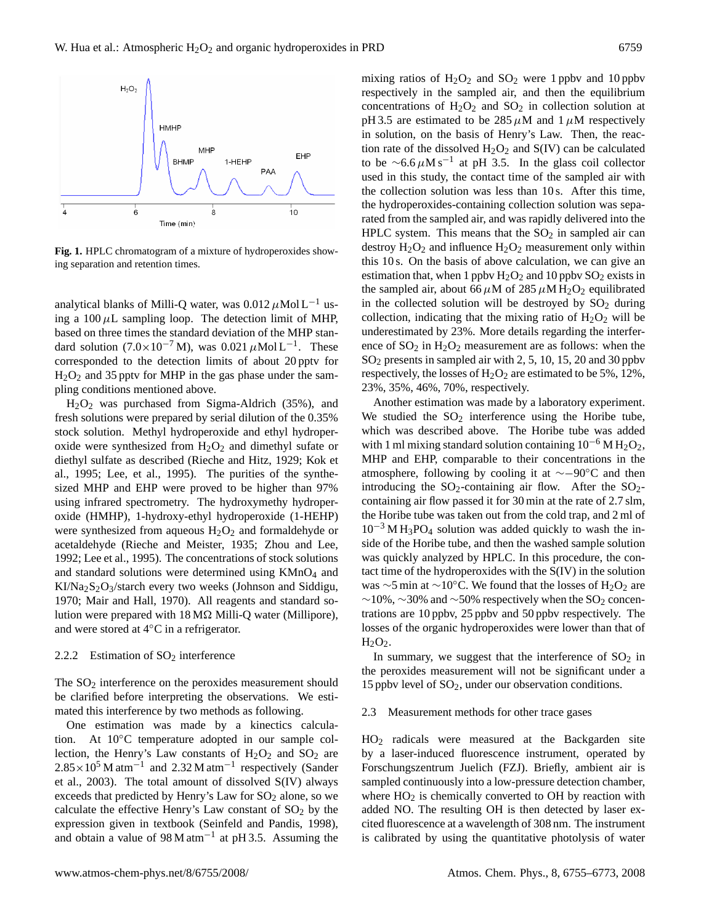

**Fig. 1.** HPLC chromatogram of a mixture of hydroperoxides showing separation and retention times.

analytical blanks of Milli-Q water, was  $0.012 \mu$ Mol L<sup>-1</sup> using a  $100 \mu L$  sampling loop. The detection limit of MHP, based on three times the standard deviation of the MHP standard solution  $(7.0 \times 10^{-7} \text{ M})$ , was  $0.021 \mu \text{Mol} \text{L}^{-1}$ . These corresponded to the detection limits of about 20 pptv for  $H<sub>2</sub>O<sub>2</sub>$  and 35 pptv for MHP in the gas phase under the sampling conditions mentioned above.

H2O<sup>2</sup> was purchased from Sigma-Aldrich (35%), and fresh solutions were prepared by serial dilution of the 0.35% stock solution. Methyl hydroperoxide and ethyl hydroperoxide were synthesized from  $H_2O_2$  and dimethyl sufate or diethyl sulfate as described (Rieche and Hitz, 1929; Kok et al., 1995; Lee, et al., 1995). The purities of the synthesized MHP and EHP were proved to be higher than 97% using infrared spectrometry. The hydroxymethy hydroperoxide (HMHP), 1-hydroxy-ethyl hydroperoxide (1-HEHP) were synthesized from aqueous  $H_2O_2$  and formaldehyde or acetaldehyde (Rieche and Meister, 1935; Zhou and Lee, 1992; Lee et al., 1995). The concentrations of stock solutions and standard solutions were determined using  $KMnO<sub>4</sub>$  and  $K1/Na_2S_2O_3$ /starch every two weeks (Johnson and Siddigu, 1970; Mair and Hall, 1970). All reagents and standard solution were prepared with  $18 \text{ M}\Omega$  Milli-Q water (Millipore), and were stored at 4◦C in a refrigerator.

#### 2.2.2 Estimation of  $SO<sub>2</sub>$  interference

The  $SO<sub>2</sub>$  interference on the peroxides measurement should be clarified before interpreting the observations. We estimated this interference by two methods as following.

One estimation was made by a kinectics calculation. At 10◦C temperature adopted in our sample collection, the Henry's Law constants of  $H_2O_2$  and  $SO_2$  are  $2.85 \times 10^5$  M atm<sup>-1</sup> and 2.32 M atm<sup>-1</sup> respectively (Sander et al., 2003). The total amount of dissolved S(IV) always exceeds that predicted by Henry's Law for  $SO<sub>2</sub>$  alone, so we calculate the effective Henry's Law constant of  $SO<sub>2</sub>$  by the expression given in textbook (Seinfeld and Pandis, 1998), and obtain a value of  $98 \text{ M atm}^{-1}$  at pH 3.5. Assuming the

mixing ratios of  $H_2O_2$  and  $SO_2$  were 1 ppbv and 10 ppbv respectively in the sampled air, and then the equilibrium concentrations of  $H_2O_2$  and  $SO_2$  in collection solution at pH 3.5 are estimated to be  $285 \mu$ M and  $1 \mu$ M respectively in solution, on the basis of Henry's Law. Then, the reaction rate of the dissolved  $H_2O_2$  and  $S(IV)$  can be calculated to be  $\sim$ 6.6  $\mu$ M s<sup>-1</sup> at pH 3.5. In the glass coil collector used in this study, the contact time of the sampled air with the collection solution was less than 10 s. After this time, the hydroperoxides-containing collection solution was separated from the sampled air, and was rapidly delivered into the HPLC system. This means that the  $SO<sub>2</sub>$  in sampled air can destroy  $H_2O_2$  and influence  $H_2O_2$  measurement only within this 10 s. On the basis of above calculation, we can give an estimation that, when 1 ppbv  $H_2O_2$  and 10 ppbv  $SO_2$  exists in the sampled air, about 66  $\mu$ M of 285  $\mu$ M H<sub>2</sub>O<sub>2</sub> equilibrated in the collected solution will be destroyed by  $SO_2$  during collection, indicating that the mixing ratio of  $H_2O_2$  will be underestimated by 23%. More details regarding the interference of  $SO_2$  in  $H_2O_2$  measurement are as follows: when the  $SO<sub>2</sub>$  presents in sampled air with 2, 5, 10, 15, 20 and 30 ppbv respectively, the losses of  $H_2O_2$  are estimated to be 5%, 12%, 23%, 35%, 46%, 70%, respectively.

Another estimation was made by a laboratory experiment. We studied the  $SO_2$  interference using the Horibe tube, which was described above. The Horibe tube was added with 1 ml mixing standard solution containing  $10^{-6}$  M H<sub>2</sub>O<sub>2</sub>, MHP and EHP, comparable to their concentrations in the atmosphere, following by cooling it at ∼−90◦C and then introducing the  $SO_2$ -containing air flow. After the  $SO_2$ containing air flow passed it for 30 min at the rate of 2.7 slm, the Horibe tube was taken out from the cold trap, and 2 ml of  $10^{-3}$  M H<sub>3</sub>PO<sub>4</sub> solution was added quickly to wash the inside of the Horibe tube, and then the washed sample solution was quickly analyzed by HPLC. In this procedure, the contact time of the hydroperoxides with the S(IV) in the solution was ∼5 min at ~10°C. We found that the losses of H<sub>2</sub>O<sub>2</sub> are  $~\sim$ 10%,  $~\sim$ 30% and  $~\sim$ 50% respectively when the SO<sub>2</sub> concentrations are 10 ppbv, 25 ppbv and 50 ppbv respectively. The losses of the organic hydroperoxides were lower than that of  $H<sub>2</sub>O<sub>2</sub>$ .

In summary, we suggest that the interference of  $SO<sub>2</sub>$  in the peroxides measurement will not be significant under a 15 ppbv level of  $SO_2$ , under our observation conditions.

#### 2.3 Measurement methods for other trace gases

HO<sup>2</sup> radicals were measured at the Backgarden site by a laser-induced fluorescence instrument, operated by Forschungszentrum Juelich (FZJ). Briefly, ambient air is sampled continuously into a low-pressure detection chamber, where  $HO<sub>2</sub>$  is chemically converted to OH by reaction with added NO. The resulting OH is then detected by laser excited fluorescence at a wavelength of 308 nm. The instrument is calibrated by using the quantitative photolysis of water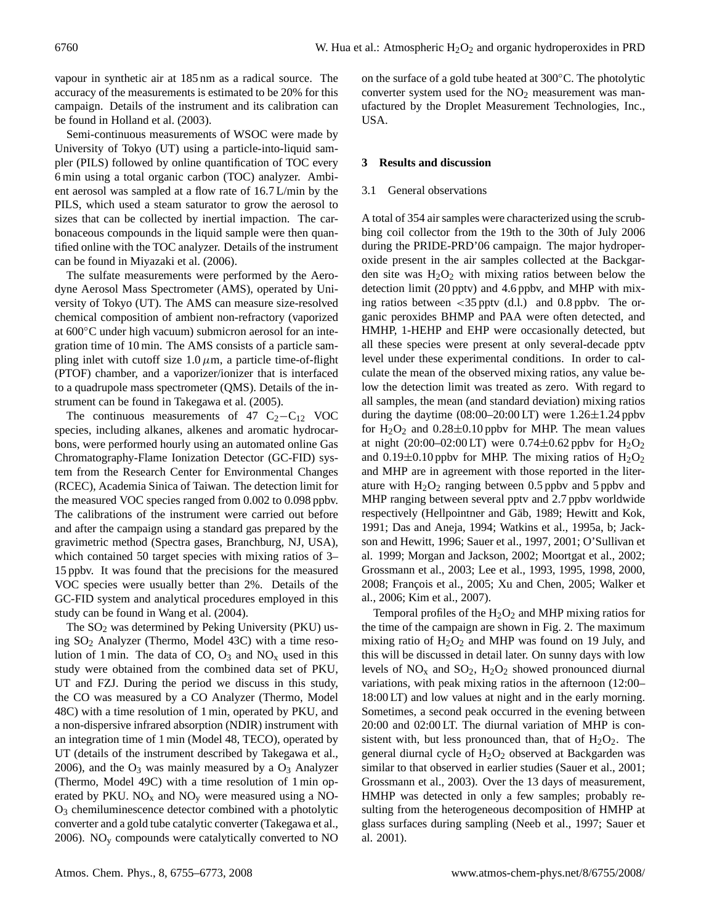vapour in synthetic air at 185 nm as a radical source. The accuracy of the measurements is estimated to be 20% for this campaign. Details of the instrument and its calibration can be found in Holland et al. (2003).

Semi-continuous measurements of WSOC were made by University of Tokyo (UT) using a particle-into-liquid sampler (PILS) followed by online quantification of TOC every 6 min using a total organic carbon (TOC) analyzer. Ambient aerosol was sampled at a flow rate of 16.7 L/min by the PILS, which used a steam saturator to grow the aerosol to sizes that can be collected by inertial impaction. The carbonaceous compounds in the liquid sample were then quantified online with the TOC analyzer. Details of the instrument can be found in Miyazaki et al. (2006).

The sulfate measurements were performed by the Aerodyne Aerosol Mass Spectrometer (AMS), operated by University of Tokyo (UT). The AMS can measure size-resolved chemical composition of ambient non-refractory (vaporized at 600◦C under high vacuum) submicron aerosol for an integration time of 10 min. The AMS consists of a particle sampling inlet with cutoff size  $1.0 \mu$ m, a particle time-of-flight (PTOF) chamber, and a vaporizer/ionizer that is interfaced to a quadrupole mass spectrometer (QMS). Details of the instrument can be found in Takegawa et al. (2005).

The continuous measurements of 47  $C_2-C_{12}$  VOC species, including alkanes, alkenes and aromatic hydrocarbons, were performed hourly using an automated online Gas Chromatography-Flame Ionization Detector (GC-FID) system from the Research Center for Environmental Changes (RCEC), Academia Sinica of Taiwan. The detection limit for the measured VOC species ranged from 0.002 to 0.098 ppbv. The calibrations of the instrument were carried out before and after the campaign using a standard gas prepared by the gravimetric method (Spectra gases, Branchburg, NJ, USA), which contained 50 target species with mixing ratios of 3– 15 ppbv. It was found that the precisions for the measured VOC species were usually better than 2%. Details of the GC-FID system and analytical procedures employed in this study can be found in Wang et al. (2004).

The  $SO<sub>2</sub>$  was determined by Peking University (PKU) using SO<sup>2</sup> Analyzer (Thermo, Model 43C) with a time resolution of 1 min. The data of CO,  $O_3$  and NO<sub>x</sub> used in this study were obtained from the combined data set of PKU, UT and FZJ. During the period we discuss in this study, the CO was measured by a CO Analyzer (Thermo, Model 48C) with a time resolution of 1 min, operated by PKU, and a non-dispersive infrared absorption (NDIR) instrument with an integration time of 1 min (Model 48, TECO), operated by UT (details of the instrument described by Takegawa et al., 2006), and the  $O_3$  was mainly measured by a  $O_3$  Analyzer (Thermo, Model 49C) with a time resolution of 1 min operated by PKU.  $NO<sub>x</sub>$  and  $NO<sub>y</sub>$  were measured using a NO-O<sup>3</sup> chemiluminescence detector combined with a photolytic converter and a gold tube catalytic converter (Takegawa et al., 2006).  $NO<sub>y</sub>$  compounds were catalytically converted to NO

on the surface of a gold tube heated at 300◦C. The photolytic converter system used for the  $NO<sub>2</sub>$  measurement was manufactured by the Droplet Measurement Technologies, Inc., USA.

# **3 Results and discussion**

## 3.1 General observations

A total of 354 air samples were characterized using the scrubbing coil collector from the 19th to the 30th of July 2006 during the PRIDE-PRD'06 campaign. The major hydroperoxide present in the air samples collected at the Backgarden site was  $H_2O_2$  with mixing ratios between below the detection limit (20 pptv) and 4.6 ppbv, and MHP with mixing ratios between  $\langle 35 \text{ pptv (d.l.)} \rangle$  and 0.8 ppbv. The organic peroxides BHMP and PAA were often detected, and HMHP, 1-HEHP and EHP were occasionally detected, but all these species were present at only several-decade pptv level under these experimental conditions. In order to calculate the mean of the observed mixing ratios, any value below the detection limit was treated as zero. With regard to all samples, the mean (and standard deviation) mixing ratios during the daytime  $(08:00-20:00 \text{ LT})$  were 1.26 $\pm$ 1.24 ppbv for  $H_2O_2$  and  $0.28\pm0.10$  ppby for MHP. The mean values at night (20:00–02:00 LT) were 0.74 $\pm$ 0.62 ppbv for H<sub>2</sub>O<sub>2</sub> and  $0.19\pm0.10$  ppbv for MHP. The mixing ratios of  $H_2O_2$ and MHP are in agreement with those reported in the literature with  $H_2O_2$  ranging between 0.5 ppbv and 5 ppbv and MHP ranging between several pptv and 2.7 ppbv worldwide respectively (Hellpointner and Gäb, 1989; Hewitt and Kok, 1991; Das and Aneja, 1994; Watkins et al., 1995a, b; Jackson and Hewitt, 1996; Sauer et al., 1997, 2001; O'Sullivan et al. 1999; Morgan and Jackson, 2002; Moortgat et al., 2002; Grossmann et al., 2003; Lee et al., 1993, 1995, 1998, 2000, 2008; François et al., 2005; Xu and Chen, 2005; Walker et al., 2006; Kim et al., 2007).

Temporal profiles of the  $H_2O_2$  and MHP mixing ratios for the time of the campaign are shown in Fig. 2. The maximum mixing ratio of  $H_2O_2$  and MHP was found on 19 July, and this will be discussed in detail later. On sunny days with low levels of  $NO<sub>x</sub>$  and  $SO<sub>2</sub>$ ,  $H<sub>2</sub>O<sub>2</sub>$  showed pronounced diurnal variations, with peak mixing ratios in the afternoon (12:00– 18:00 LT) and low values at night and in the early morning. Sometimes, a second peak occurred in the evening between 20:00 and 02:00 LT. The diurnal variation of MHP is consistent with, but less pronounced than, that of  $H_2O_2$ . The general diurnal cycle of  $H_2O_2$  observed at Backgarden was similar to that observed in earlier studies (Sauer et al., 2001; Grossmann et al., 2003). Over the 13 days of measurement, HMHP was detected in only a few samples; probably resulting from the heterogeneous decomposition of HMHP at glass surfaces during sampling (Neeb et al., 1997; Sauer et al. 2001).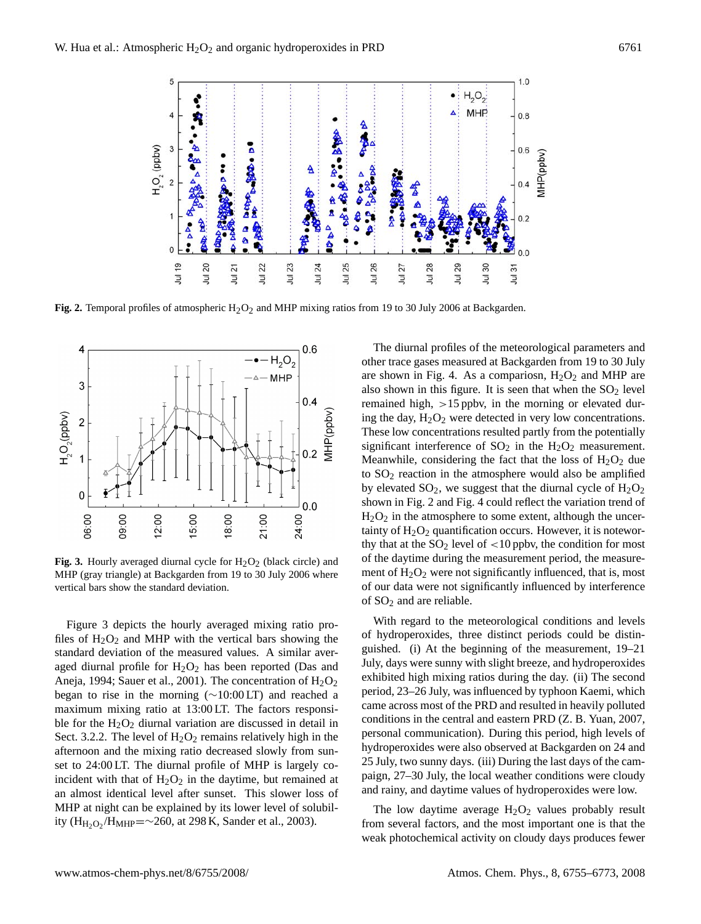

1143 Fig. 2. Temporal profiles of atmospheric H2O2 and MHP mixing ratios from 19 to 30 July 2006 at **Fig. 2.** Temporal profiles of atmospheric H2O2 and MHP mixing ratios from 19 to 30 July 2006 at Backgarden.



Fig. 3. Hourly averaged diurnal cycle for  $H_2O_2$  (black circle) and  $H_2O_2$  of the daytime during the measurement period, to vertical bars show the standard deviation. MHP (gray triangle) at Backgarden from 19 to 30 July 2006 where

 $\overline{1}$ Figure 3 depicts the hourly averaged mixing ratio profiles of  $H_2O_2$  and MHP with the vertical bars showing the standard deviation of the measured values. A similar averaged diurnal profile for  $H_2O_2$  has been reported (Das and Aneja, 1994; Sauer et al., 2001). The concentration of  $H_2O_2$ began to rise in the morning (∼10:00 LT) and reached a maximum mixing ratio at 13:00 LT. The factors responsible for the  $H_2O_2$  diurnal variation are discussed in detail in Sect. 3.2.2. The level of  $H_2O_2$  remains relatively high in the afternoon and the mixing ratio decreased slowly from sunset to 24:00 LT. The diurnal profile of MHP is largely coincident with that of  $H_2O_2$  in the daytime, but remained at an almost identical level after sunset. This slower loss of MHP at night can be explained by its lower level of solubility  $(H_{H_2O_2}/H_{MHP} = \sim 260$ , at 298 K, Sander et al., 2003).

show the standard deviation. 
of our data were not significantly influenced by interference The diurnal profiles of the meteorological parameters and other trace gases measured at Backgarden from 19 to 30 July are shown in Fig. 4. As a compariosn,  $H<sub>2</sub>O<sub>2</sub>$  and MHP are also shown in this figure. It is seen that when the  $SO_2$  level remained high, >15 ppbv, in the morning or elevated during the day,  $H_2O_2$  were detected in very low concentrations. These low concentrations resulted partly from the potentially significant interference of  $SO_2$  in the  $H_2O_2$  measurement. Meanwhile, considering the fact that the loss of  $H_2O_2$  due to  $SO<sub>2</sub>$  reaction in the atmosphere would also be amplified by elevated  $SO_2$ , we suggest that the diurnal cycle of  $H_2O_2$ shown in Fig. 2 and Fig. 4 could reflect the variation trend of  $H_2O_2$  in the atmosphere to some extent, although the uncertainty of  $H_2O_2$  quantification occurs. However, it is noteworthy that at the  $SO_2$  level of  $\lt 10$  ppby, the condition for most of the daytime during the measurement period, the measurement of  $H_2O_2$  were not significantly influenced, that is, most of  $SO<sub>2</sub>$  and are reliable.

> With regard to the meteorological conditions and levels of hydroperoxides, three distinct periods could be distinguished. (i) At the beginning of the measurement, 19–21 July, days were sunny with slight breeze, and hydroperoxides exhibited high mixing ratios during the day. (ii) The second period, 23–26 July, was influenced by typhoon Kaemi, which came across most of the PRD and resulted in heavily polluted conditions in the central and eastern PRD (Z. B. Yuan, 2007, personal communication). During this period, high levels of hydroperoxides were also observed at Backgarden on 24 and 25 July, two sunny days. (iii) During the last days of the campaign, 27–30 July, the local weather conditions were cloudy and rainy, and daytime values of hydroperoxides were low.

> The low daytime average  $H_2O_2$  values probably result from several factors, and the most important one is that the weak photochemical activity on cloudy days produces fewer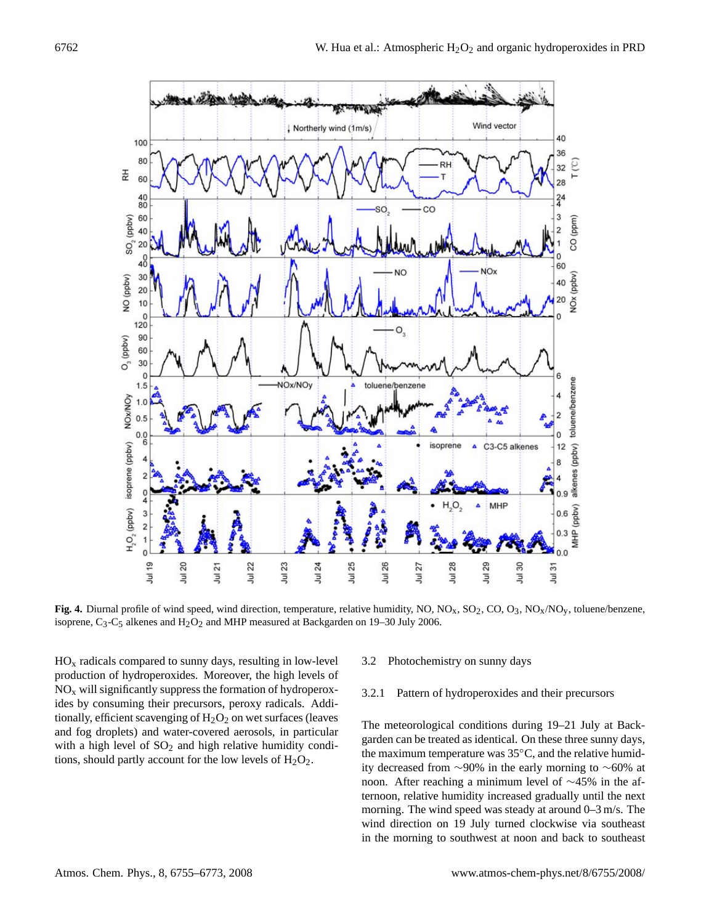

Fig. 4. Diurnal profile of wind speed, wind direction, temperature, relative humidity, NO, NO<sub>x</sub>, SO<sub>2</sub>, CO, O<sub>3</sub>, NO<sub>x</sub>/NO<sub>y</sub>, toluene/benzene, isoprene,  $C_3$ - $C_5$  alkenes and  $H_2O_2$  and MHP measured at Backgarden on 19–30 July 2006.

 $HO_x$  radicals compared to sunny days, resulting in low-level  $3.2$  Photochemistry on sunny days production of hydroperoxides. Moreover, the high levels of<br>NO, will significantly suppress the formation of hydroperox  $NO<sub>x</sub>$  will significantly suppress the formation of hydroperoxides by consuming their precursors, peroxy radicals. Additionally, efficient scavenging of  $H_2O_2$  on wet surfaces (leaves and fog droplets) and water-covered aerosols, in particular with a high level of  $SO_2$  and high relative humidity conditions, should partly account for the low levels of  $H_2O_2$ .

3.2 Photochemistry on sunny days

## 3.2.1 Pattern of hydroperoxides and their precursors

The meteorological conditions during 19–21 July at Backgarden can be treated as identical. On these three sunny days, the maximum temperature was 35◦C, and the relative humidity decreased from ∼90% in the early morning to ∼60% at noon. After reaching a minimum level of ∼45% in the afternoon, relative humidity increased gradually until the next morning. The wind speed was steady at around 0–3 m/s. The wind direction on 19 July turned clockwise via southeast in the morning to southwest at noon and back to southeast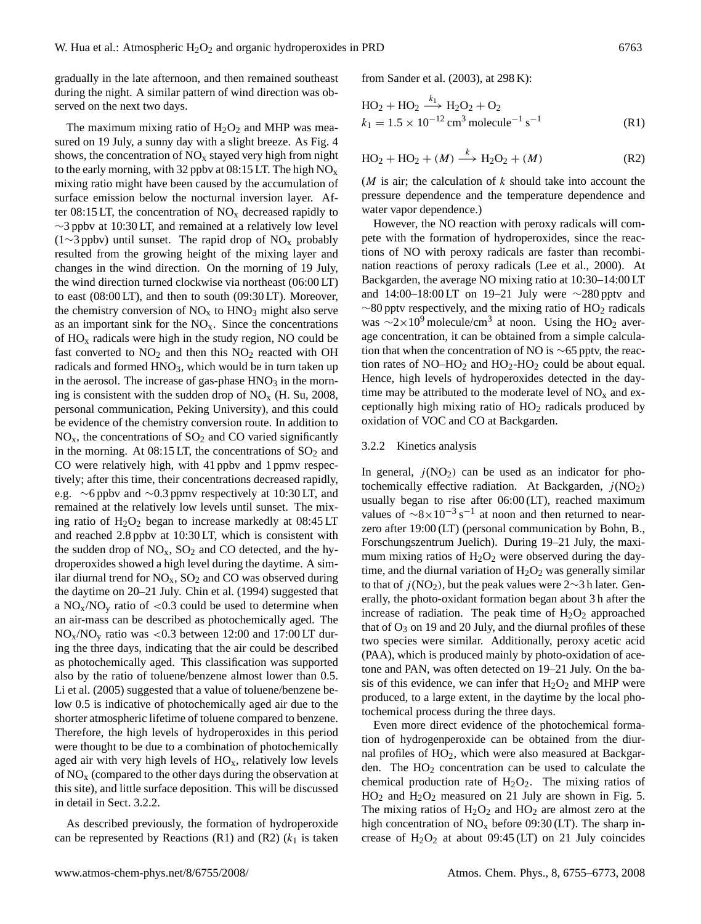gradually in the late afternoon, and then remained southeast during the night. A similar pattern of wind direction was observed on the next two days.

The maximum mixing ratio of  $H_2O_2$  and MHP was measured on 19 July, a sunny day with a slight breeze. As Fig. 4 shows, the concentration of  $NO<sub>x</sub>$  stayed very high from night to the early morning, with 32 ppby at 08:15 LT. The high  $NO_x$ mixing ratio might have been caused by the accumulation of surface emission below the nocturnal inversion layer. After 08:15 LT, the concentration of  $NO<sub>x</sub>$  decreased rapidly to ∼3 ppbv at 10:30 LT, and remained at a relatively low level (1∼3 ppbv) until sunset. The rapid drop of  $NO<sub>x</sub>$  probably resulted from the growing height of the mixing layer and changes in the wind direction. On the morning of 19 July, the wind direction turned clockwise via northeast (06:00 LT) to east (08:00 LT), and then to south (09:30 LT). Moreover, the chemistry conversion of  $NO<sub>x</sub>$  to  $HNO<sub>3</sub>$  might also serve as an important sink for the  $NO<sub>x</sub>$ . Since the concentrations of  $HO<sub>x</sub>$  radicals were high in the study region, NO could be fast converted to  $NO<sub>2</sub>$  and then this  $NO<sub>2</sub>$  reacted with OH radicals and formed HNO<sub>3</sub>, which would be in turn taken up in the aerosol. The increase of gas-phase  $HNO<sub>3</sub>$  in the morning is consistent with the sudden drop of  $NO<sub>x</sub>$  (H. Su, 2008, personal communication, Peking University), and this could be evidence of the chemistry conversion route. In addition to  $NO<sub>x</sub>$ , the concentrations of  $SO<sub>2</sub>$  and CO varied significantly in the morning. At  $08:15$  LT, the concentrations of  $SO<sub>2</sub>$  and CO were relatively high, with 41 ppbv and 1 ppmv respectively; after this time, their concentrations decreased rapidly, e.g. ∼6 ppbv and ∼0.3 ppmv respectively at 10:30 LT, and remained at the relatively low levels until sunset. The mixing ratio of  $H_2O_2$  began to increase markedly at 08:45 LT and reached 2.8 ppbv at 10:30 LT, which is consistent with the sudden drop of  $NO<sub>x</sub>$ ,  $SO<sub>2</sub>$  and CO detected, and the hydroperoxides showed a high level during the daytime. A similar diurnal trend for  $NO<sub>x</sub>$ ,  $SO<sub>2</sub>$  and CO was observed during the daytime on 20–21 July. Chin et al. (1994) suggested that a  $NO_x/NO_y$  ratio of <0.3 could be used to determine when an air-mass can be described as photochemically aged. The  $NO<sub>x</sub>/NO<sub>y</sub>$  ratio was <0.3 between 12:00 and 17:00 LT during the three days, indicating that the air could be described as photochemically aged. This classification was supported also by the ratio of toluene/benzene almost lower than 0.5. Li et al. (2005) suggested that a value of toluene/benzene below 0.5 is indicative of photochemically aged air due to the shorter atmospheric lifetime of toluene compared to benzene. Therefore, the high levels of hydroperoxides in this period were thought to be due to a combination of photochemically aged air with very high levels of  $HO<sub>x</sub>$ , relatively low levels of  $NO<sub>x</sub>$  (compared to the other days during the observation at this site), and little surface deposition. This will be discussed in detail in Sect. 3.2.2.

As described previously, the formation of hydroperoxide can be represented by Reactions (R1) and (R2) ( $k_1$  is taken from Sander et al. (2003), at 298 K):

$$
HO2 + HO2 \xrightarrow{k_1} H2O2 + O2
$$
  

$$
k_1 = 1.5 \times 10^{-12} \text{ cm}^3 \text{ molecule}^{-1} \text{ s}^{-1}
$$
 (R1)

$$
HO_2 + HO_2 + (M) \xrightarrow{k} H_2O_2 + (M)
$$
 (R2)

( $M$  is air; the calculation of  $k$  should take into account the pressure dependence and the temperature dependence and water vapor dependence.)

However, the NO reaction with peroxy radicals will compete with the formation of hydroperoxides, since the reactions of NO with peroxy radicals are faster than recombination reactions of peroxy radicals (Lee et al., 2000). At Backgarden, the average NO mixing ratio at 10:30–14:00 LT and 14:00–18:00 LT on 19–21 July were ∼280 pptv and  $\sim$ 80 pptv respectively, and the mixing ratio of HO<sub>2</sub> radicals was  $\sim$ 2×10<sup>9</sup> molecule/cm<sup>3</sup> at noon. Using the HO<sub>2</sub> average concentration, it can be obtained from a simple calculation that when the concentration of NO is  $\sim$ 65 pptv, the reaction rates of  $NO-HO<sub>2</sub>$  and  $HO<sub>2</sub>-HO<sub>2</sub>$  could be about equal. Hence, high levels of hydroperoxides detected in the daytime may be attributed to the moderate level of  $NO<sub>x</sub>$  and exceptionally high mixing ratio of  $HO<sub>2</sub>$  radicals produced by oxidation of VOC and CO at Backgarden.

## 3.2.2 Kinetics analysis

In general,  $j(NO_2)$  can be used as an indicator for photochemically effective radiation. At Backgarden,  $j(NO<sub>2</sub>)$ usually began to rise after 06:00 (LT), reached maximum values of  $\sim 8 \times 10^{-3}$  s<sup>-1</sup> at noon and then returned to nearzero after 19:00 (LT) (personal communication by Bohn, B., Forschungszentrum Juelich). During 19–21 July, the maximum mixing ratios of  $H_2O_2$  were observed during the daytime, and the diurnal variation of  $H_2O_2$  was generally similar to that of  $j(NO<sub>2</sub>)$ , but the peak values were 2∼3 h later. Generally, the photo-oxidant formation began about 3 h after the increase of radiation. The peak time of  $H_2O_2$  approached that of  $O_3$  on 19 and 20 July, and the diurnal profiles of these two species were similar. Additionally, peroxy acetic acid (PAA), which is produced mainly by photo-oxidation of acetone and PAN, was often detected on 19–21 July. On the basis of this evidence, we can infer that  $H_2O_2$  and MHP were produced, to a large extent, in the daytime by the local photochemical process during the three days.

Even more direct evidence of the photochemical formation of hydrogenperoxide can be obtained from the diurnal profiles of HO<sub>2</sub>, which were also measured at Backgarden. The  $HO<sub>2</sub>$  concentration can be used to calculate the chemical production rate of  $H_2O_2$ . The mixing ratios of  $HO<sub>2</sub>$  and  $H<sub>2</sub>O<sub>2</sub>$  measured on 21 July are shown in Fig. 5. The mixing ratios of  $H_2O_2$  and  $H_2O_2$  are almost zero at the high concentration of  $NO<sub>x</sub>$  before 09:30 (LT). The sharp increase of  $H_2O_2$  at about 09:45 (LT) on 21 July coincides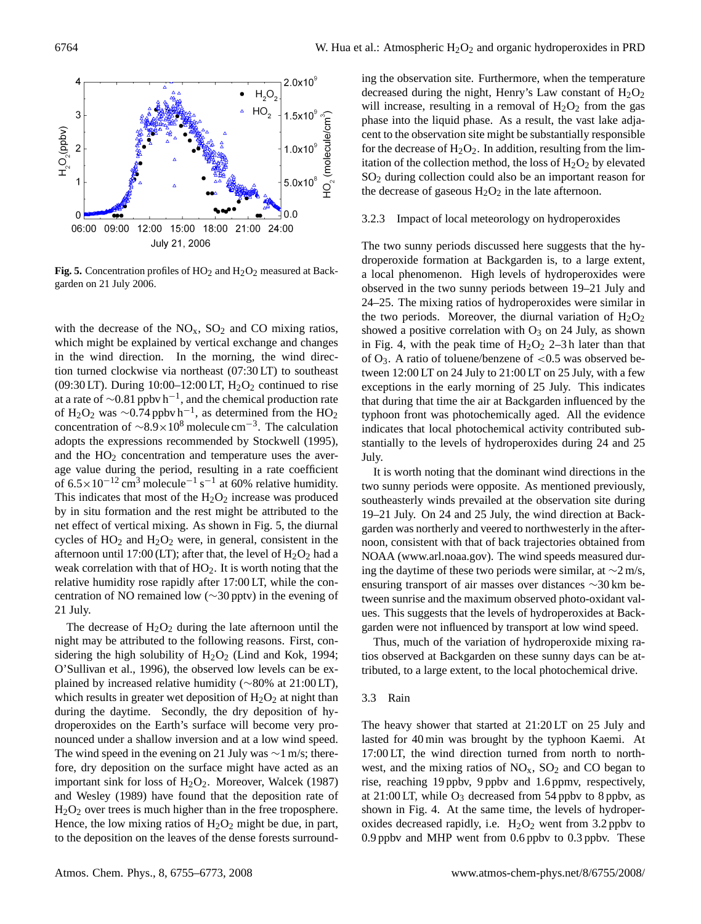

**Fig. 5.** Concentration profiles of  $HO_2$  and  $H_2O_2$  measured at Backgarden on 21 July 2006.

with the decrease of the  $NO<sub>x</sub>$ ,  $SO<sub>2</sub>$  and CO mixing ratios, which might be explained by vertical exchange and changes in the wind direction. In the morning, the wind direction turned clockwise via northeast (07:30 LT) to southeast (09:30 LT). During  $10:00-12:00$  LT,  $H_2O_2$  continued to rise at a rate of  $\sim$ 0.81 ppbv h<sup>-1</sup>, and the chemical production rate of H<sub>2</sub>O<sub>2</sub> was ~0.74 ppbv h<sup>-1</sup>, as determined from the HO<sub>2</sub> concentration of  $\sim$ 8.9×10<sup>8</sup> molecule cm<sup>-3</sup>. The calculation adopts the expressions recommended by Stockwell (1995), and the  $HO<sub>2</sub>$  concentration and temperature uses the average value during the period, resulting in a rate coefficient of  $6.5 \times 10^{-12}$  cm<sup>3</sup> molecule<sup>-1</sup> s<sup>-1</sup> at 60% relative humidity. This indicates that most of the  $H_2O_2$  increase was produced by in situ formation and the rest might be attributed to the net effect of vertical mixing. As shown in Fig. 5, the diurnal cycles of  $HO_2$  and  $H_2O_2$  were, in general, consistent in the afternoon until 17:00 (LT); after that, the level of  $H_2O_2$  had a weak correlation with that of  $HO<sub>2</sub>$ . It is worth noting that the relative humidity rose rapidly after 17:00 LT, while the concentration of NO remained low (∼30 pptv) in the evening of 21 July.

The decrease of  $H_2O_2$  during the late afternoon until the night may be attributed to the following reasons. First, considering the high solubility of  $H_2O_2$  (Lind and Kok, 1994; O'Sullivan et al., 1996), the observed low levels can be explained by increased relative humidity (∼80% at 21:00 LT), which results in greater wet deposition of  $H_2O_2$  at night than during the daytime. Secondly, the dry deposition of hydroperoxides on the Earth's surface will become very pronounced under a shallow inversion and at a low wind speed. The wind speed in the evening on 21 July was ∼1 m/s; therefore, dry deposition on the surface might have acted as an important sink for loss of  $H_2O_2$ . Moreover, Walcek (1987) and Wesley (1989) have found that the deposition rate of  $H<sub>2</sub>O<sub>2</sub>$  over trees is much higher than in the free troposphere. Hence, the low mixing ratios of  $H_2O_2$  might be due, in part, to the deposition on the leaves of the dense forests surrounding the observation site. Furthermore, when the temperature decreased during the night, Henry's Law constant of  $H_2O_2$ will increase, resulting in a removal of  $H_2O_2$  from the gas phase into the liquid phase. As a result, the vast lake adjacent to the observation site might be substantially responsible for the decrease of  $H_2O_2$ . In addition, resulting from the limitation of the collection method, the loss of  $H_2O_2$  by elevated SO<sup>2</sup> during collection could also be an important reason for the decrease of gaseous  $H_2O_2$  in the late afternoon.

## 3.2.3 Impact of local meteorology on hydroperoxides

The two sunny periods discussed here suggests that the hydroperoxide formation at Backgarden is, to a large extent, a local phenomenon. High levels of hydroperoxides were observed in the two sunny periods between 19–21 July and 24–25. The mixing ratios of hydroperoxides were similar in the two periods. Moreover, the diurnal variation of  $H_2O_2$ showed a positive correlation with  $O_3$  on 24 July, as shown in Fig. 4, with the peak time of  $H_2O_2$  2–3 h later than that of  $O_3$ . A ratio of toluene/benzene of <0.5 was observed between 12:00 LT on 24 July to 21:00 LT on 25 July, with a few exceptions in the early morning of 25 July. This indicates that during that time the air at Backgarden influenced by the typhoon front was photochemically aged. All the evidence indicates that local photochemical activity contributed substantially to the levels of hydroperoxides during 24 and 25 July.

It is worth noting that the dominant wind directions in the two sunny periods were opposite. As mentioned previously, southeasterly winds prevailed at the observation site during 19–21 July. On 24 and 25 July, the wind direction at Backgarden was northerly and veered to northwesterly in the afternoon, consistent with that of back trajectories obtained from NOAA [\(www.arl.noaa.gov\).]((www.arl.noaa.gov)) The wind speeds measured during the daytime of these two periods were similar, at ∼2 m/s, ensuring transport of air masses over distances ∼30 km between sunrise and the maximum observed photo-oxidant values. This suggests that the levels of hydroperoxides at Backgarden were not influenced by transport at low wind speed.

Thus, much of the variation of hydroperoxide mixing ratios observed at Backgarden on these sunny days can be attributed, to a large extent, to the local photochemical drive.

#### 3.3 Rain

The heavy shower that started at 21:20 LT on 25 July and lasted for 40 min was brought by the typhoon Kaemi. At 17:00 LT, the wind direction turned from north to northwest, and the mixing ratios of  $NO<sub>x</sub>$ ,  $SO<sub>2</sub>$  and CO began to rise, reaching 19 ppbv, 9 ppbv and 1.6 ppmv, respectively, at 21:00 LT, while  $O_3$  decreased from 54 ppbv to 8 ppbv, as shown in Fig. 4. At the same time, the levels of hydroperoxides decreased rapidly, i.e.  $H_2O_2$  went from 3.2 ppbv to 0.9 ppbv and MHP went from 0.6 ppbv to 0.3 ppbv. These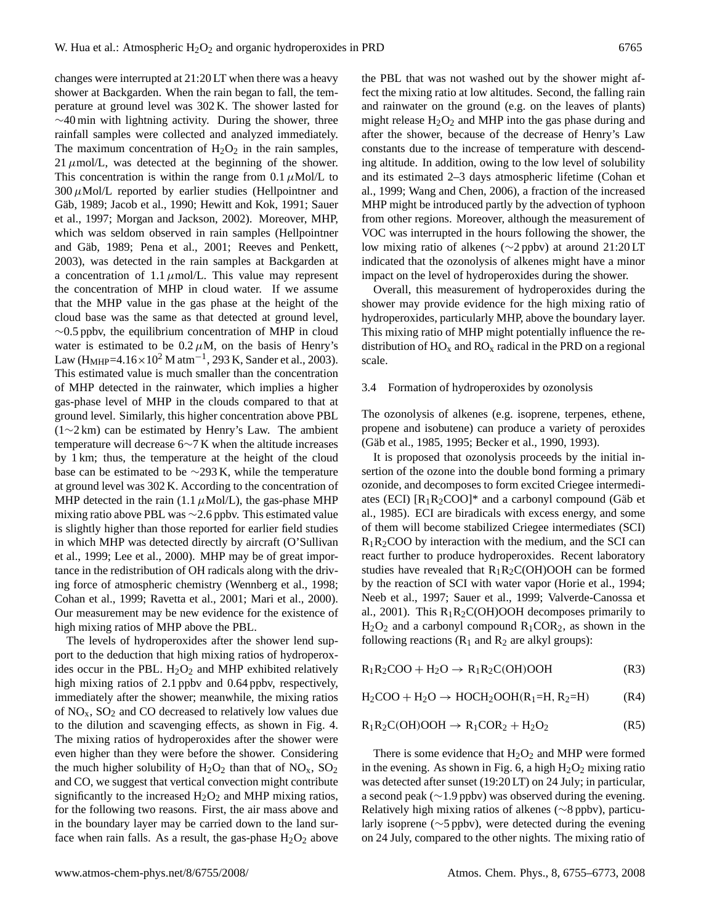changes were interrupted at 21:20 LT when there was a heavy shower at Backgarden. When the rain began to fall, the temperature at ground level was 302 K. The shower lasted for ∼40 min with lightning activity. During the shower, three rainfall samples were collected and analyzed immediately. The maximum concentration of  $H_2O_2$  in the rain samples, 21  $\mu$ mol/L, was detected at the beginning of the shower. This concentration is within the range from 0.1  $\mu$ Mol/L to  $300 \mu$ Mol/L reported by earlier studies (Hellpointner and Gäb, 1989; Jacob et al., 1990; Hewitt and Kok, 1991; Sauer et al., 1997; Morgan and Jackson, 2002). Moreover, MHP, which was seldom observed in rain samples (Hellpointner and Gäb, 1989; Pena et al., 2001; Reeves and Penkett, 2003), was detected in the rain samples at Backgarden at a concentration of 1.1  $\mu$ mol/L. This value may represent the concentration of MHP in cloud water. If we assume that the MHP value in the gas phase at the height of the cloud base was the same as that detected at ground level,  $\sim$ 0.5 ppbv, the equilibrium concentration of MHP in cloud water is estimated to be  $0.2 \mu M$ , on the basis of Henry's Law (H<sub>MHP</sub>=4.16×10<sup>2</sup> M atm<sup>-1</sup>, 293 K, Sander et al., 2003). This estimated value is much smaller than the concentration of MHP detected in the rainwater, which implies a higher gas-phase level of MHP in the clouds compared to that at ground level. Similarly, this higher concentration above PBL (1∼2 km) can be estimated by Henry's Law. The ambient temperature will decrease 6∼7 K when the altitude increases by 1 km; thus, the temperature at the height of the cloud base can be estimated to be ∼293 K, while the temperature at ground level was 302 K. According to the concentration of MHP detected in the rain (1.1  $\mu$ Mol/L), the gas-phase MHP mixing ratio above PBL was ∼2.6 ppbv. This estimated value is slightly higher than those reported for earlier field studies in which MHP was detected directly by aircraft (O'Sullivan et al., 1999; Lee et al., 2000). MHP may be of great importance in the redistribution of OH radicals along with the driving force of atmospheric chemistry (Wennberg et al., 1998; Cohan et al., 1999; Ravetta et al., 2001; Mari et al., 2000). Our measurement may be new evidence for the existence of high mixing ratios of MHP above the PBL.

The levels of hydroperoxides after the shower lend support to the deduction that high mixing ratios of hydroperoxides occur in the PBL.  $H_2O_2$  and MHP exhibited relatively high mixing ratios of 2.1 ppby and 0.64 ppby, respectively, immediately after the shower; meanwhile, the mixing ratios of  $NO<sub>x</sub>$ ,  $SO<sub>2</sub>$  and CO decreased to relatively low values due to the dilution and scavenging effects, as shown in Fig. 4. The mixing ratios of hydroperoxides after the shower were even higher than they were before the shower. Considering the much higher solubility of  $H_2O_2$  than that of  $NO_x$ ,  $SO_2$ and CO, we suggest that vertical convection might contribute significantly to the increased  $H_2O_2$  and MHP mixing ratios, for the following two reasons. First, the air mass above and in the boundary layer may be carried down to the land surface when rain falls. As a result, the gas-phase  $H_2O_2$  above the PBL that was not washed out by the shower might affect the mixing ratio at low altitudes. Second, the falling rain and rainwater on the ground (e.g. on the leaves of plants) might release  $H_2O_2$  and MHP into the gas phase during and after the shower, because of the decrease of Henry's Law constants due to the increase of temperature with descending altitude. In addition, owing to the low level of solubility and its estimated 2–3 days atmospheric lifetime (Cohan et al., 1999; Wang and Chen, 2006), a fraction of the increased MHP might be introduced partly by the advection of typhoon from other regions. Moreover, although the measurement of VOC was interrupted in the hours following the shower, the low mixing ratio of alkenes (∼2 ppbv) at around 21:20 LT indicated that the ozonolysis of alkenes might have a minor impact on the level of hydroperoxides during the shower.

Overall, this measurement of hydroperoxides during the shower may provide evidence for the high mixing ratio of hydroperoxides, particularly MHP, above the boundary layer. This mixing ratio of MHP might potentially influence the redistribution of  $HO_x$  and  $RO_x$  radical in the PRD on a regional scale.

#### 3.4 Formation of hydroperoxides by ozonolysis

The ozonolysis of alkenes (e.g. isoprene, terpenes, ethene, propene and isobutene) can produce a variety of peroxides (Gäb et al., 1985, 1995; Becker et al., 1990, 1993).

It is proposed that ozonolysis proceeds by the initial insertion of the ozone into the double bond forming a primary ozonide, and decomposes to form excited Criegee intermediates (ECI)  $[R_1R_2COO]^*$  and a carbonyl compound (Gäb et al., 1985). ECI are biradicals with excess energy, and some of them will become stabilized Criegee intermediates (SCI)  $R_1R_2COO$  by interaction with the medium, and the SCI can react further to produce hydroperoxides. Recent laboratory studies have revealed that  $R_1R_2C(OH)OOH$  can be formed by the reaction of SCI with water vapor (Horie et al., 1994; Neeb et al., 1997; Sauer et al., 1999; Valverde-Canossa et al., 2001). This  $R_1R_2C(OH)OOH$  decomposes primarily to  $H<sub>2</sub>O<sub>2</sub>$  and a carbonyl compound  $R<sub>1</sub>COR<sub>2</sub>$ , as shown in the following reactions  $(R_1 \text{ and } R_2 \text{ are alkyl groups})$ :

$$
R_1R_2COO + H_2O \rightarrow R_1R_2C(OH)OOH
$$
 (R3)

 $H_2COO + H_2O \rightarrow HOCH_2OOH(R_1=H, R_2=H)$  (R4)

$$
R_1R_2C(OH)OOH \to R_1COR_2 + H_2O_2 \tag{R5}
$$

There is some evidence that  $H_2O_2$  and MHP were formed in the evening. As shown in Fig. 6, a high  $H_2O_2$  mixing ratio was detected after sunset (19:20 LT) on 24 July; in particular, a second peak (∼1.9 ppbv) was observed during the evening. Relatively high mixing ratios of alkenes (∼8 ppbv), particularly isoprene (∼5 ppbv), were detected during the evening on 24 July, compared to the other nights. The mixing ratio of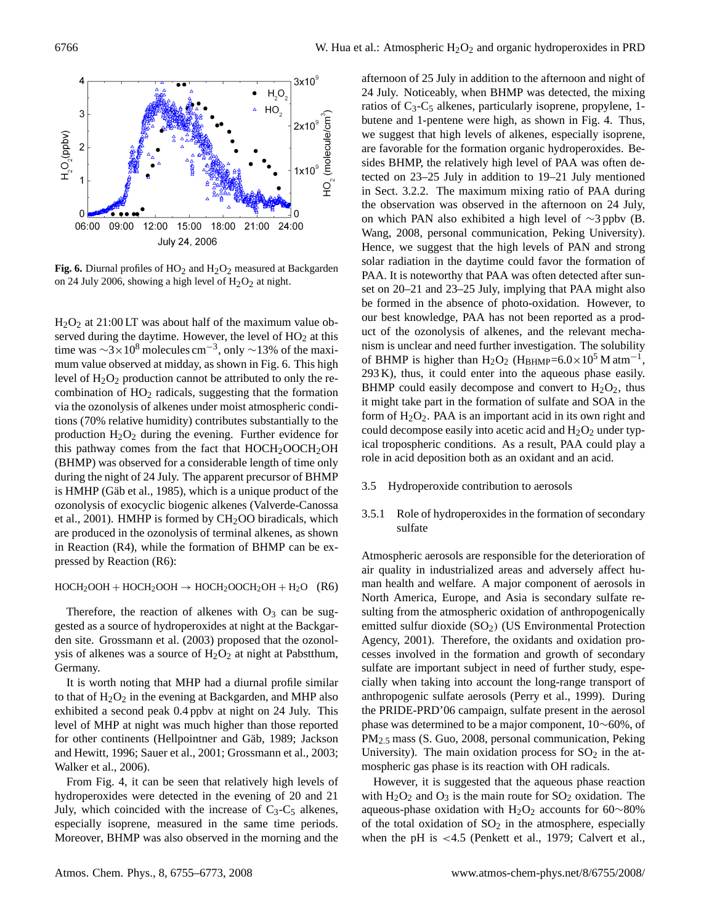

**Fig. 6.** Diurnal profiles of  $HO_2$  and  $H_2O_2$  measured at Backgarden on 24 July 2006, showing a high level of  $H_2O_2$  at night.

 $H<sub>2</sub>O<sub>2</sub>$  at 21:00 LT was about half of the maximum value observed during the daytime. However, the level of  $HO<sub>2</sub>$  at this time was  $\sim$ 3×10<sup>8</sup> molecules cm<sup>-3</sup>, only  $\sim$ 13% of the maximum value observed at midday, as shown in Fig. 6. This high level of  $H_2O_2$  production cannot be attributed to only the recombination of HO<sup>2</sup> radicals, suggesting that the formation via the ozonolysis of alkenes under moist atmospheric conditions (70% relative humidity) contributes substantially to the production  $H_2O_2$  during the evening. Further evidence for this pathway comes from the fact that  $HOCH<sub>2</sub>OOCH<sub>2</sub>OH$ (BHMP) was observed for a considerable length of time only during the night of 24 July. The apparent precursor of BHMP is  $HMHP$  (Gäb et al., 1985), which is a unique product of the ozonolysis of exocyclic biogenic alkenes (Valverde-Canossa et al., 2001). HMHP is formed by  $CH<sub>2</sub>OO$  biradicals, which are produced in the ozonolysis of terminal alkenes, as shown in Reaction (R4), while the formation of BHMP can be expressed by Reaction (R6):

#### $HOCH<sub>2</sub>OOH + HOCH<sub>2</sub>OOH \rightarrow HOCH<sub>2</sub>OOCH<sub>2</sub>OH + H<sub>2</sub>O (R6)$

Therefore, the reaction of alkenes with  $O_3$  can be suggested as a source of hydroperoxides at night at the Backgarden site. Grossmann et al. (2003) proposed that the ozonolysis of alkenes was a source of  $H_2O_2$  at night at Pabstthum, Germany.

It is worth noting that MHP had a diurnal profile similar to that of  $H_2O_2$  in the evening at Backgarden, and MHP also exhibited a second peak 0.4 ppbv at night on 24 July. This level of MHP at night was much higher than those reported for other continents (Hellpointner and Gäb, 1989; Jackson and Hewitt, 1996; Sauer et al., 2001; Grossmann et al., 2003; Walker et al., 2006).

From Fig. 4, it can be seen that relatively high levels of hydroperoxides were detected in the evening of 20 and 21 July, which coincided with the increase of  $C_3-C_5$  alkenes, especially isoprene, measured in the same time periods. Moreover, BHMP was also observed in the morning and the

afternoon of 25 July in addition to the afternoon and night of 24 July. Noticeably, when BHMP was detected, the mixing ratios of  $C_3$ - $C_5$  alkenes, particularly isoprene, propylene, 1butene and 1-pentene were high, as shown in Fig. 4. Thus, we suggest that high levels of alkenes, especially isoprene, are favorable for the formation organic hydroperoxides. Besides BHMP, the relatively high level of PAA was often detected on 23–25 July in addition to 19–21 July mentioned in Sect. 3.2.2. The maximum mixing ratio of PAA during the observation was observed in the afternoon on 24 July, on which PAN also exhibited a high level of ∼3 ppbv (B. Wang, 2008, personal communication, Peking University). Hence, we suggest that the high levels of PAN and strong solar radiation in the daytime could favor the formation of PAA. It is noteworthy that PAA was often detected after sunset on 20–21 and 23–25 July, implying that PAA might also be formed in the absence of photo-oxidation. However, to our best knowledge, PAA has not been reported as a product of the ozonolysis of alkenes, and the relevant mechanism is unclear and need further investigation. The solubility of BHMP is higher than  $H_2O_2$  ( $H_{BHMP}$ =6.0×10<sup>5</sup> M atm<sup>-1</sup>, 293 K), thus, it could enter into the aqueous phase easily. BHMP could easily decompose and convert to  $H_2O_2$ , thus it might take part in the formation of sulfate and SOA in the form of  $H_2O_2$ . PAA is an important acid in its own right and could decompose easily into acetic acid and  $H_2O_2$  under typical tropospheric conditions. As a result, PAA could play a role in acid deposition both as an oxidant and an acid.

#### 3.5 Hydroperoxide contribution to aerosols

## 3.5.1 Role of hydroperoxides in the formation of secondary sulfate

Atmospheric aerosols are responsible for the deterioration of air quality in industrialized areas and adversely affect human health and welfare. A major component of aerosols in North America, Europe, and Asia is secondary sulfate resulting from the atmospheric oxidation of anthropogenically emitted sulfur dioxide (SO<sub>2</sub>) (US Environmental Protection Agency, 2001). Therefore, the oxidants and oxidation processes involved in the formation and growth of secondary sulfate are important subject in need of further study, especially when taking into account the long-range transport of anthropogenic sulfate aerosols (Perry et al., 1999). During the PRIDE-PRD'06 campaign, sulfate present in the aerosol phase was determined to be a major component, 10∼60%, of PM2.<sup>5</sup> mass (S. Guo, 2008, personal communication, Peking University). The main oxidation process for  $SO_2$  in the atmospheric gas phase is its reaction with OH radicals.

However, it is suggested that the aqueous phase reaction with  $H_2O_2$  and  $O_3$  is the main route for  $SO_2$  oxidation. The aqueous-phase oxidation with H<sub>2</sub>O<sub>2</sub> accounts for 60∼80% of the total oxidation of  $SO<sub>2</sub>$  in the atmosphere, especially when the pH is <4.5 (Penkett et al., 1979; Calvert et al.,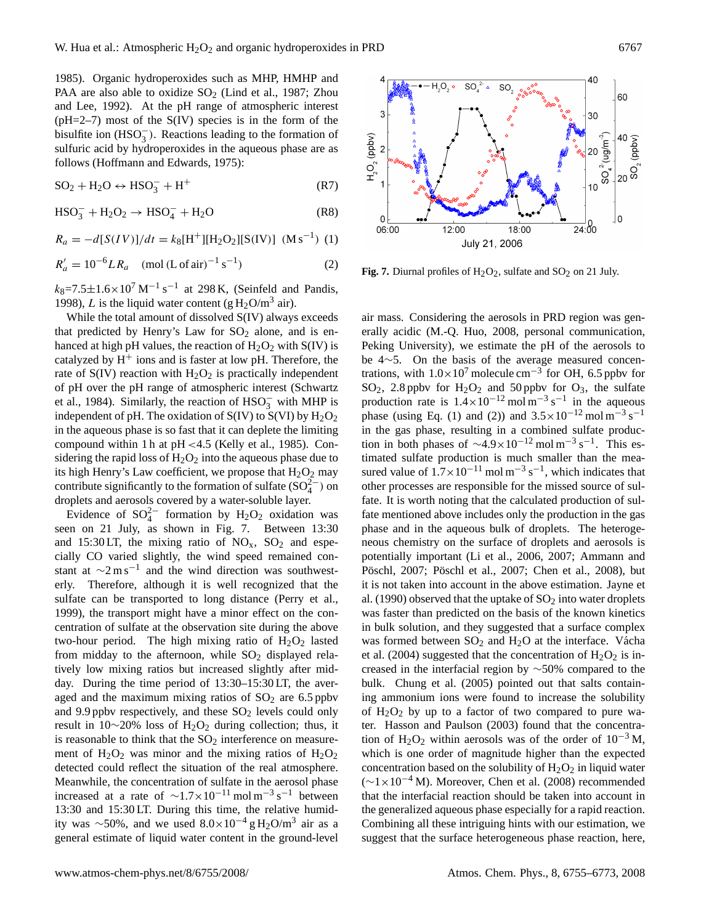1985). Organic hydroperoxides such as MHP, HMHP and PAA are also able to oxidize  $SO<sub>2</sub>$  (Lind et al., 1987; Zhou and Lee, 1992). At the pH range of atmospheric interest  $(pH=2-7)$  most of the S(IV) species is in the form of the bisulfite ion  $(HSO_3^-)$ . Reactions leading to the formation of sulfuric acid by hydroperoxides in the aqueous phase are as follows (Hoffmann and Edwards, 1975):

$$
SO_2 + H_2O \leftrightarrow HSO_3^- + H^+ \tag{R7}
$$

$$
HSO_3^- + H_2O_2 \rightarrow HSO_4^- + H_2O \tag{R8}
$$

$$
R_a = -d[S(IV)]/dt = k_8[H^+][H_2O_2][S(IV)] \ (Ms^{-1}) \ (1)
$$

$$
R'_a = 10^{-6}LR_a \quad \text{(mol (L of air)}^{-1} \text{ s}^{-1}\text{)}\tag{2}
$$

 $k_8$ =7.5 $\pm$ 1.6×10<sup>7</sup> M<sup>-1</sup> s<sup>-1</sup> at 298 K, (Seinfeld and Pandis, 1998), L is the liquid water content (g  $H_2O/m^3$  air).

While the total amount of dissolved S(IV) always exceeds that predicted by Henry's Law for  $SO_2$  alone, and is enhanced at high pH values, the reaction of  $H_2O_2$  with S(IV) is catalyzed by  $H^+$  ions and is faster at low pH. Therefore, the rate of  $S(IV)$  reaction with  $H_2O_2$  is practically independent of pH over the pH range of atmospheric interest (Schwartz et al., 1984). Similarly, the reaction of  $HSO_3^-$  with MHP is independent of pH. The oxidation of  $S(IV)$  to  $S(VI)$  by  $H_2O_2$ in the aqueous phase is so fast that it can deplete the limiting compound within 1 h at pH <4.5 (Kelly et al., 1985). Considering the rapid loss of  $H_2O_2$  into the aqueous phase due to its high Henry's Law coefficient, we propose that  $H_2O_2$  may contribute significantly to the formation of sulfate  $(SO_4^{2-})$  on droplets and aerosols covered by a water-soluble layer.

Evidence of  $SO_4^{2-}$  formation by H<sub>2</sub>O<sub>2</sub> oxidation was seen on 21 July, as shown in Fig. 7. Between 13:30 and 15:30 LT, the mixing ratio of  $NO<sub>x</sub>$ ,  $SO<sub>2</sub>$  and especially CO varied slightly, the wind speed remained constant at  $\sim$ 2 m s<sup>-1</sup> and the wind direction was southwesterly. Therefore, although it is well recognized that the sulfate can be transported to long distance (Perry et al., 1999), the transport might have a minor effect on the concentration of sulfate at the observation site during the above two-hour period. The high mixing ratio of  $H_2O_2$  lasted from midday to the afternoon, while  $SO_2$  displayed relatively low mixing ratios but increased slightly after midday. During the time period of 13:30–15:30 LT, the averaged and the maximum mixing ratios of  $SO<sub>2</sub>$  are 6.5 ppbv and 9.9 ppbv respectively, and these  $SO<sub>2</sub>$  levels could only result in 10∼20% loss of H<sub>2</sub>O<sub>2</sub> during collection; thus, it is reasonable to think that the  $SO<sub>2</sub>$  interference on measurement of  $H_2O_2$  was minor and the mixing ratios of  $H_2O_2$ detected could reflect the situation of the real atmosphere. Meanwhile, the concentration of sulfate in the aerosol phase increased at a rate of  $\sim$ 1.7×10<sup>-11</sup> mol m<sup>-3</sup> s<sup>-1</sup> between 13:30 and 15:30 LT. During this time, the relative humidity was ~50%, and we used  $8.0 \times 10^{-4}$  gH<sub>2</sub>O/m<sup>3</sup> air as a general estimate of liquid water content in the ground-level



**Fig. 7.** Diurnal profiles of  $H_2O_2$ , sulfate and  $SO_2$  on 21 July.

air mass. Considering the aerosols in PRD region was generally acidic (M.-Q. Huo, 2008, personal communication, Peking University), we estimate the pH of the aerosols to be 4∼5. On the basis of the average measured concentrations, with  $1.0 \times 10^7$  molecule cm<sup>-3</sup> for OH, 6.5 ppbv for  $SO_2$ , 2.8 ppbv for  $H_2O_2$  and 50 ppbv for  $O_3$ , the sulfate production rate is  $1.4 \times 10^{-12}$  mol m<sup>-3</sup> s<sup>-1</sup> in the aqueous phase (using Eq. (1) and (2)) and  $3.5 \times 10^{-12}$  mol m<sup>-3</sup> s<sup>-1</sup> in the gas phase, resulting in a combined sulfate production in both phases of  $\sim$ 4.9×10<sup>-12</sup> mol m<sup>-3</sup> s<sup>-1</sup>. This estimated sulfate production is much smaller than the measured value of  $1.7 \times 10^{-11}$  mol m<sup>-3</sup> s<sup>-1</sup>, which indicates that other processes are responsible for the missed source of sulfate. It is worth noting that the calculated production of sulfate mentioned above includes only the production in the gas phase and in the aqueous bulk of droplets. The heterogeneous chemistry on the surface of droplets and aerosols is potentially important (Li et al., 2006, 2007; Ammann and Pöschl, 2007; Pöschl et al., 2007; Chen et al., 2008), but it is not taken into account in the above estimation. Jayne et al. (1990) observed that the uptake of  $SO<sub>2</sub>$  into water droplets was faster than predicted on the basis of the known kinetics in bulk solution, and they suggested that a surface complex was formed between  $SO_2$  and  $H_2O$  at the interface. Vácha et al. (2004) suggested that the concentration of  $H_2O_2$  is increased in the interfacial region by ∼50% compared to the bulk. Chung et al. (2005) pointed out that salts containing ammonium ions were found to increase the solubility of  $H_2O_2$  by up to a factor of two compared to pure water. Hasson and Paulson (2003) found that the concentration of H<sub>2</sub>O<sub>2</sub> within aerosols was of the order of  $10^{-3}$  M, which is one order of magnitude higher than the expected concentration based on the solubility of  $H_2O_2$  in liquid water  $({\sim}1\times10^{-4}$  M). Moreover, Chen et al. (2008) recommended that the interfacial reaction should be taken into account in the generalized aqueous phase especially for a rapid reaction. Combining all these intriguing hints with our estimation, we suggest that the surface heterogeneous phase reaction, here,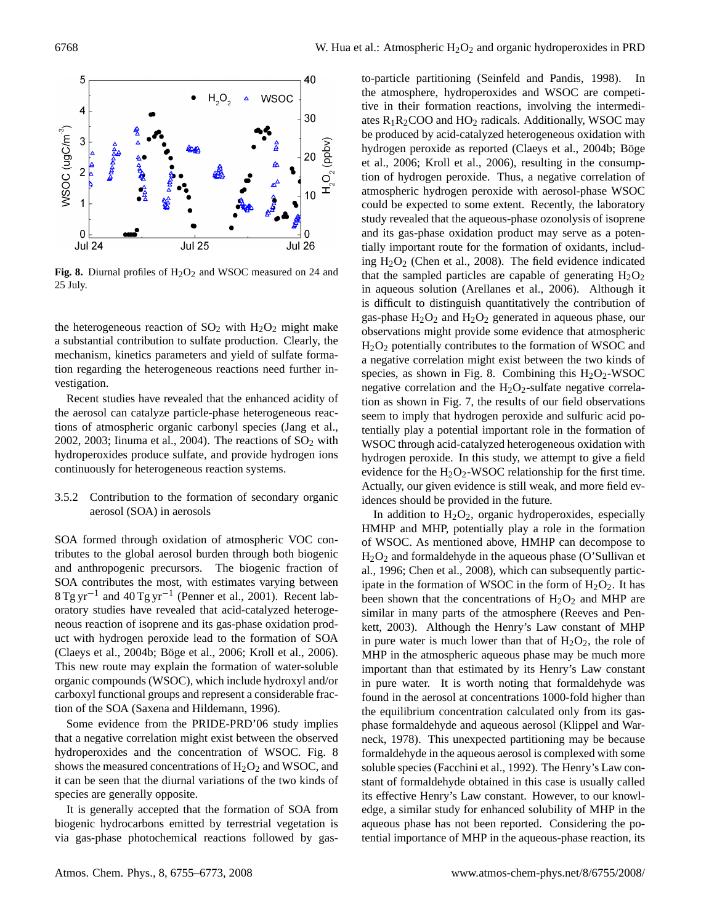

**Fig. 8.** Diurnal profiles of  $H_2O_2$  and WSOC measured on 24 and 25 July.

the heterogeneous reaction of  $SO_2$  with  $H_2O_2$  might make a substantial contribution to sulfate production. Clearly, the mechanism, kinetics parameters and yield of sulfate formation regarding the heterogeneous reactions need further investigation.

Recent studies have revealed that the enhanced acidity of the aerosol can catalyze particle-phase heterogeneous reactions of atmospheric organic carbonyl species (Jang et al., 2002, 2003; Iinuma et al., 2004). The reactions of  $SO<sub>2</sub>$  with hydroperoxides produce sulfate, and provide hydrogen ions continuously for heterogeneous reaction systems.

3.5.2 Contribution to the formation of secondary organic aerosol (SOA) in aerosols

SOA formed through oxidation of atmospheric VOC contributes to the global aerosol burden through both biogenic and anthropogenic precursors. The biogenic fraction of SOA contributes the most, with estimates varying between 8 Tg yr−<sup>1</sup> and 40 Tg yr−<sup>1</sup> (Penner et al., 2001). Recent laboratory studies have revealed that acid-catalyzed heterogeneous reaction of isoprene and its gas-phase oxidation product with hydrogen peroxide lead to the formation of SOA (Claeys et al., 2004b; Böge et al., 2006; Kroll et al., 2006). This new route may explain the formation of water-soluble organic compounds (WSOC), which include hydroxyl and/or carboxyl functional groups and represent a considerable fraction of the SOA (Saxena and Hildemann, 1996).

Some evidence from the PRIDE-PRD'06 study implies that a negative correlation might exist between the observed hydroperoxides and the concentration of WSOC. Fig. 8 shows the measured concentrations of  $H_2O_2$  and WSOC, and it can be seen that the diurnal variations of the two kinds of species are generally opposite.

It is generally accepted that the formation of SOA from biogenic hydrocarbons emitted by terrestrial vegetation is via gas-phase photochemical reactions followed by gasto-particle partitioning (Seinfeld and Pandis, 1998). In the atmosphere, hydroperoxides and WSOC are competitive in their formation reactions, involving the intermediates  $R_1R_2COO$  and  $HO_2$  radicals. Additionally, WSOC may be produced by acid-catalyzed heterogeneous oxidation with hydrogen peroxide as reported (Claeys et al., 2004b; Böge et al., 2006; Kroll et al., 2006), resulting in the consumption of hydrogen peroxide. Thus, a negative correlation of atmospheric hydrogen peroxide with aerosol-phase WSOC could be expected to some extent. Recently, the laboratory study revealed that the aqueous-phase ozonolysis of isoprene and its gas-phase oxidation product may serve as a potentially important route for the formation of oxidants, including  $H_2O_2$  (Chen et al., 2008). The field evidence indicated that the sampled particles are capable of generating  $H_2O_2$ in aqueous solution (Arellanes et al., 2006). Although it is difficult to distinguish quantitatively the contribution of gas-phase  $H_2O_2$  and  $H_2O_2$  generated in aqueous phase, our observations might provide some evidence that atmospheric  $H<sub>2</sub>O<sub>2</sub>$  potentially contributes to the formation of WSOC and a negative correlation might exist between the two kinds of species, as shown in Fig. 8. Combining this  $H_2O_2$ -WSOC negative correlation and the  $H_2O_2$ -sulfate negative correlation as shown in Fig. 7, the results of our field observations seem to imply that hydrogen peroxide and sulfuric acid potentially play a potential important role in the formation of WSOC through acid-catalyzed heterogeneous oxidation with hydrogen peroxide. In this study, we attempt to give a field evidence for the  $H_2O_2$ -WSOC relationship for the first time. Actually, our given evidence is still weak, and more field evidences should be provided in the future.

In addition to  $H_2O_2$ , organic hydroperoxides, especially HMHP and MHP, potentially play a role in the formation of WSOC. As mentioned above, HMHP can decompose to  $H_2O_2$  and formaldehyde in the aqueous phase (O'Sullivan et al., 1996; Chen et al., 2008), which can subsequently participate in the formation of WSOC in the form of  $H_2O_2$ . It has been shown that the concentrations of  $H_2O_2$  and MHP are similar in many parts of the atmosphere (Reeves and Penkett, 2003). Although the Henry's Law constant of MHP in pure water is much lower than that of  $H_2O_2$ , the role of MHP in the atmospheric aqueous phase may be much more important than that estimated by its Henry's Law constant in pure water. It is worth noting that formaldehyde was found in the aerosol at concentrations 1000-fold higher than the equilibrium concentration calculated only from its gasphase formaldehyde and aqueous aerosol (Klippel and Warneck, 1978). This unexpected partitioning may be because formaldehyde in the aqueous aerosol is complexed with some soluble species (Facchini et al., 1992). The Henry's Law constant of formaldehyde obtained in this case is usually called its effective Henry's Law constant. However, to our knowledge, a similar study for enhanced solubility of MHP in the aqueous phase has not been reported. Considering the potential importance of MHP in the aqueous-phase reaction, its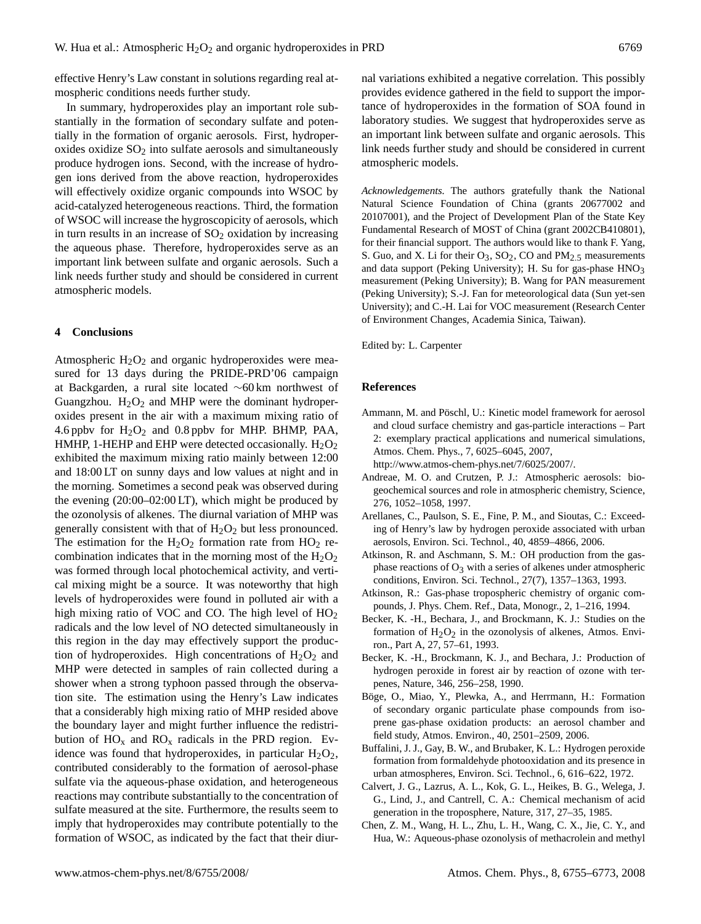effective Henry's Law constant in solutions regarding real atmospheric conditions needs further study.

In summary, hydroperoxides play an important role substantially in the formation of secondary sulfate and potentially in the formation of organic aerosols. First, hydroperoxides oxidize  $SO<sub>2</sub>$  into sulfate aerosols and simultaneously produce hydrogen ions. Second, with the increase of hydrogen ions derived from the above reaction, hydroperoxides will effectively oxidize organic compounds into WSOC by acid-catalyzed heterogeneous reactions. Third, the formation of WSOC will increase the hygroscopicity of aerosols, which in turn results in an increase of  $SO<sub>2</sub>$  oxidation by increasing the aqueous phase. Therefore, hydroperoxides serve as an important link between sulfate and organic aerosols. Such a link needs further study and should be considered in current atmospheric models.

### **4 Conclusions**

Atmospheric  $H_2O_2$  and organic hydroperoxides were measured for 13 days during the PRIDE-PRD'06 campaign at Backgarden, a rural site located ∼60 km northwest of Guangzhou.  $H_2O_2$  and MHP were the dominant hydroperoxides present in the air with a maximum mixing ratio of 4.6 ppbv for  $H_2O_2$  and 0.8 ppbv for MHP. BHMP, PAA, HMHP, 1-HEHP and EHP were detected occasionally.  $H_2O_2$ exhibited the maximum mixing ratio mainly between 12:00 and 18:00 LT on sunny days and low values at night and in the morning. Sometimes a second peak was observed during the evening (20:00–02:00 LT), which might be produced by the ozonolysis of alkenes. The diurnal variation of MHP was generally consistent with that of  $H_2O_2$  but less pronounced. The estimation for the  $H_2O_2$  formation rate from  $HO_2$  recombination indicates that in the morning most of the  $H_2O_2$ was formed through local photochemical activity, and vertical mixing might be a source. It was noteworthy that high levels of hydroperoxides were found in polluted air with a high mixing ratio of VOC and CO. The high level of  $HO<sub>2</sub>$ radicals and the low level of NO detected simultaneously in this region in the day may effectively support the production of hydroperoxides. High concentrations of  $H_2O_2$  and MHP were detected in samples of rain collected during a shower when a strong typhoon passed through the observation site. The estimation using the Henry's Law indicates that a considerably high mixing ratio of MHP resided above the boundary layer and might further influence the redistribution of  $HO_x$  and  $RO_x$  radicals in the PRD region. Evidence was found that hydroperoxides, in particular  $H_2O_2$ , contributed considerably to the formation of aerosol-phase sulfate via the aqueous-phase oxidation, and heterogeneous reactions may contribute substantially to the concentration of sulfate measured at the site. Furthermore, the results seem to imply that hydroperoxides may contribute potentially to the formation of WSOC, as indicated by the fact that their diurnal variations exhibited a negative correlation. This possibly provides evidence gathered in the field to support the importance of hydroperoxides in the formation of SOA found in laboratory studies. We suggest that hydroperoxides serve as an important link between sulfate and organic aerosols. This link needs further study and should be considered in current atmospheric models.

*Acknowledgements.* The authors gratefully thank the National Natural Science Foundation of China (grants 20677002 and 20107001), and the Project of Development Plan of the State Key Fundamental Research of MOST of China (grant 2002CB410801), for their financial support. The authors would like to thank F. Yang, S. Guo, and X. Li for their  $O_3$ ,  $SO_2$ , CO and  $PM_{2.5}$  measurements and data support (Peking University); H. Su for gas-phase HNO<sub>3</sub> measurement (Peking University); B. Wang for PAN measurement (Peking University); S.-J. Fan for meteorological data (Sun yet-sen University); and C.-H. Lai for VOC measurement (Research Center of Environment Changes, Academia Sinica, Taiwan).

Edited by: L. Carpenter

#### **References**

Ammann, M. and Pöschl, U.: Kinetic model framework for aerosol and cloud surface chemistry and gas-particle interactions – Part 2: exemplary practical applications and numerical simulations, Atmos. Chem. Phys., 7, 6025–6045, 2007,

[http://www.atmos-chem-phys.net/7/6025/2007/.](http://www.atmos-chem-phys.net/7/6025/2007/)

- Andreae, M. O. and Crutzen, P. J.: Atmospheric aerosols: biogeochemical sources and role in atmospheric chemistry, Science, 276, 1052–1058, 1997.
- Arellanes, C., Paulson, S. E., Fine, P. M., and Sioutas, C.: Exceeding of Henry's law by hydrogen peroxide associated with urban aerosols, Environ. Sci. Technol., 40, 4859–4866, 2006.
- Atkinson, R. and Aschmann, S. M.: OH production from the gasphase reactions of  $O_3$  with a series of alkenes under atmospheric conditions, Environ. Sci. Technol., 27(7), 1357–1363, 1993.
- Atkinson, R.: Gas-phase tropospheric chemistry of organic compounds, J. Phys. Chem. Ref., Data, Monogr., 2, 1–216, 1994.
- Becker, K. -H., Bechara, J., and Brockmann, K. J.: Studies on the formation of  $H_2O_2$  in the ozonolysis of alkenes, Atmos. Environ., Part A, 27, 57–61, 1993.
- Becker, K. -H., Brockmann, K. J., and Bechara, J.: Production of hydrogen peroxide in forest air by reaction of ozone with terpenes, Nature, 346, 256–258, 1990.
- Böge, O., Miao, Y., Plewka, A., and Herrmann, H.: Formation of secondary organic particulate phase compounds from isoprene gas-phase oxidation products: an aerosol chamber and field study, Atmos. Environ., 40, 2501–2509, 2006.
- Buffalini, J. J., Gay, B. W., and Brubaker, K. L.: Hydrogen peroxide formation from formaldehyde photooxidation and its presence in urban atmospheres, Environ. Sci. Technol., 6, 616–622, 1972.
- Calvert, J. G., Lazrus, A. L., Kok, G. L., Heikes, B. G., Welega, J. G., Lind, J., and Cantrell, C. A.: Chemical mechanism of acid generation in the troposphere, Nature, 317, 27–35, 1985.
- Chen, Z. M., Wang, H. L., Zhu, L. H., Wang, C. X., Jie, C. Y., and Hua, W.: Aqueous-phase ozonolysis of methacrolein and methyl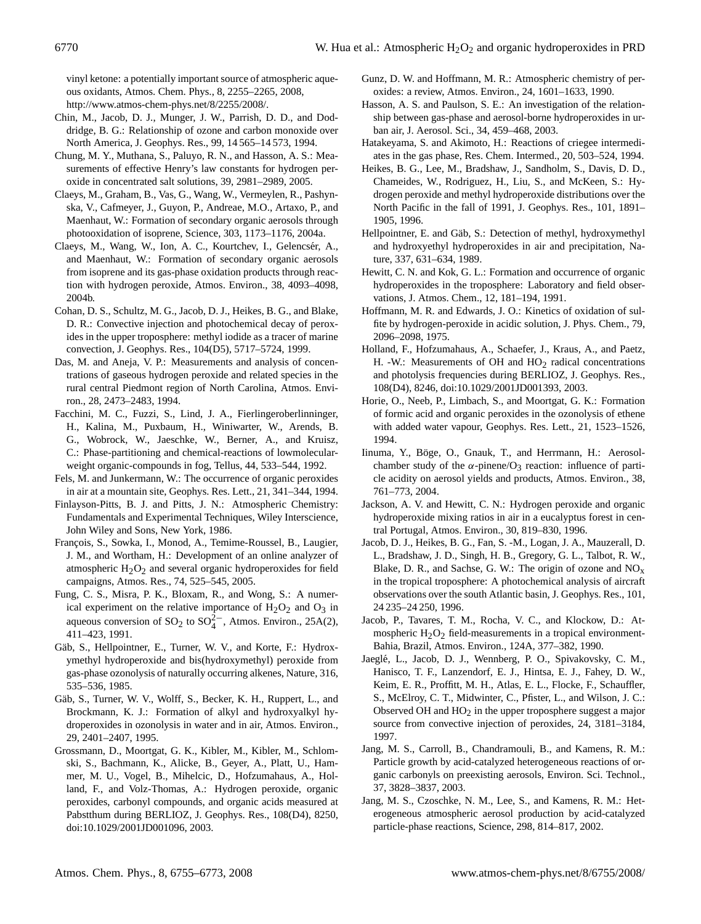vinyl ketone: a potentially important source of atmospheric aqueous oxidants, Atmos. Chem. Phys., 8, 2255–2265, 2008, [http://www.atmos-chem-phys.net/8/2255/2008/.](http://www.atmos-chem-phys.net/8/2255/2008/)

- Chin, M., Jacob, D. J., Munger, J. W., Parrish, D. D., and Doddridge, B. G.: Relationship of ozone and carbon monoxide over North America, J. Geophys. Res., 99, 14 565–14 573, 1994.
- Chung, M. Y., Muthana, S., Paluyo, R. N., and Hasson, A. S.: Measurements of effective Henry's law constants for hydrogen peroxide in concentrated salt solutions, 39, 2981–2989, 2005.
- Claeys, M., Graham, B., Vas, G., Wang, W., Vermeylen, R., Pashynska, V., Cafmeyer, J., Guyon, P., Andreae, M.O., Artaxo, P., and Maenhaut, W.: Formation of secondary organic aerosols through photooxidation of isoprene, Science, 303, 1173–1176, 2004a.
- Claeys, M., Wang, W., Ion, A. C., Kourtchev, I., Gelencsér, A., and Maenhaut, W.: Formation of secondary organic aerosols from isoprene and its gas-phase oxidation products through reaction with hydrogen peroxide, Atmos. Environ., 38, 4093–4098, 2004b.
- Cohan, D. S., Schultz, M. G., Jacob, D. J., Heikes, B. G., and Blake, D. R.: Convective injection and photochemical decay of peroxides in the upper troposphere: methyl iodide as a tracer of marine convection, J. Geophys. Res., 104(D5), 5717–5724, 1999.
- Das, M. and Aneja, V. P.: Measurements and analysis of concentrations of gaseous hydrogen peroxide and related species in the rural central Piedmont region of North Carolina, Atmos. Environ., 28, 2473–2483, 1994.
- Facchini, M. C., Fuzzi, S., Lind, J. A., Fierlingeroberlinninger, H., Kalina, M., Puxbaum, H., Winiwarter, W., Arends, B. G., Wobrock, W., Jaeschke, W., Berner, A., and Kruisz, C.: Phase-partitioning and chemical-reactions of lowmolecularweight organic-compounds in fog, Tellus, 44, 533–544, 1992.
- Fels, M. and Junkermann, W.: The occurrence of organic peroxides in air at a mountain site, Geophys. Res. Lett., 21, 341–344, 1994.
- Finlayson-Pitts, B. J. and Pitts, J. N.: Atmospheric Chemistry: Fundamentals and Experimental Techniques, Wiley Interscience, John Wiley and Sons, New York, 1986.
- François, S., Sowka, I., Monod, A., Temime-Roussel, B., Laugier, J. M., and Wortham, H.: Development of an online analyzer of atmospheric  $H_2O_2$  and several organic hydroperoxides for field campaigns, Atmos. Res., 74, 525–545, 2005.
- Fung, C. S., Misra, P. K., Bloxam, R., and Wong, S.: A numerical experiment on the relative importance of  $H_2O_2$  and  $O_3$  in aqueous conversion of SO<sub>2</sub> to SO<sub>4</sub><sup>2</sup><sup>-</sup>, Atmos. Environ., 25A(2), 411–423, 1991.
- Gäb, S., Hellpointner, E., Turner, W. V., and Korte, F.: Hydroxymethyl hydroperoxide and bis(hydroxymethyl) peroxide from gas-phase ozonolysis of naturally occurring alkenes, Nature, 316, 535–536, 1985.
- Gäb, S., Turner, W. V., Wolff, S., Becker, K. H., Ruppert, L., and Brockmann, K. J.: Formation of alkyl and hydroxyalkyl hydroperoxides in ozonolysis in water and in air, Atmos. Environ., 29, 2401–2407, 1995.
- Grossmann, D., Moortgat, G. K., Kibler, M., Kibler, M., Schlomski, S., Bachmann, K., Alicke, B., Geyer, A., Platt, U., Hammer, M. U., Vogel, B., Mihelcic, D., Hofzumahaus, A., Holland, F., and Volz-Thomas, A.: Hydrogen peroxide, organic peroxides, carbonyl compounds, and organic acids measured at Pabstthum during BERLIOZ, J. Geophys. Res., 108(D4), 8250, doi:10.1029/2001JD001096, 2003.
- Gunz, D. W. and Hoffmann, M. R.: Atmospheric chemistry of peroxides: a review, Atmos. Environ., 24, 1601–1633, 1990.
- Hasson, A. S. and Paulson, S. E.: An investigation of the relationship between gas-phase and aerosol-borne hydroperoxides in urban air, J. Aerosol. Sci., 34, 459–468, 2003.
- Hatakeyama, S. and Akimoto, H.: Reactions of criegee intermediates in the gas phase, Res. Chem. Intermed., 20, 503–524, 1994.
- Heikes, B. G., Lee, M., Bradshaw, J., Sandholm, S., Davis, D. D., Chameides, W., Rodriguez, H., Liu, S., and McKeen, S.: Hydrogen peroxide and methyl hydroperoxide distributions over the North Pacific in the fall of 1991, J. Geophys. Res., 101, 1891– 1905, 1996.
- Hellpointner, E. and Gäb, S.: Detection of methyl, hydroxymethyl and hydroxyethyl hydroperoxides in air and precipitation, Nature, 337, 631–634, 1989.
- Hewitt, C. N. and Kok, G. L.: Formation and occurrence of organic hydroperoxides in the troposphere: Laboratory and field observations, J. Atmos. Chem., 12, 181–194, 1991.
- Hoffmann, M. R. and Edwards, J. O.: Kinetics of oxidation of sulfite by hydrogen-peroxide in acidic solution, J. Phys. Chem., 79, 2096–2098, 1975.
- Holland, F., Hofzumahaus, A., Schaefer, J., Kraus, A., and Paetz, H. -W.: Measurements of OH and  $HO<sub>2</sub>$  radical concentrations and photolysis frequencies during BERLIOZ, J. Geophys. Res., 108(D4), 8246, doi:10.1029/2001JD001393, 2003.
- Horie, O., Neeb, P., Limbach, S., and Moortgat, G. K.: Formation of formic acid and organic peroxides in the ozonolysis of ethene with added water vapour, Geophys. Res. Lett., 21, 1523–1526, 1994.
- Iinuma, Y., Böge, O., Gnauk, T., and Herrmann, H.: Aerosolchamber study of the  $\alpha$ -pinene/O<sub>3</sub> reaction: influence of particle acidity on aerosol yields and products, Atmos. Environ., 38, 761–773, 2004.
- Jackson, A. V. and Hewitt, C. N.: Hydrogen peroxide and organic hydroperoxide mixing ratios in air in a eucalyptus forest in central Portugal, Atmos. Environ., 30, 819–830, 1996.
- Jacob, D. J., Heikes, B. G., Fan, S. -M., Logan, J. A., Mauzerall, D. L., Bradshaw, J. D., Singh, H. B., Gregory, G. L., Talbot, R. W., Blake, D. R., and Sachse, G. W.: The origin of ozone and  $NO<sub>x</sub>$ in the tropical troposphere: A photochemical analysis of aircraft observations over the south Atlantic basin, J. Geophys. Res., 101, 24 235–24 250, 1996.
- Jacob, P., Tavares, T. M., Rocha, V. C., and Klockow, D.: Atmospheric  $H_2O_2$  field-measurements in a tropical environment-Bahia, Brazil, Atmos. Environ., 124A, 377–382, 1990.
- Jaegle, L., Jacob, D. J., Wennberg, P. O., Spivakovsky, C. M., ´ Hanisco, T. F., Lanzendorf, E. J., Hintsa, E. J., Fahey, D. W., Keim, E. R., Proffitt, M. H., Atlas, E. L., Flocke, F., Schauffler, S., McElroy, C. T., Midwinter, C., Pfister, L., and Wilson, J. C.: Observed OH and  $HO<sub>2</sub>$  in the upper troposphere suggest a major source from convective injection of peroxides, 24, 3181–3184, 1997.
- Jang, M. S., Carroll, B., Chandramouli, B., and Kamens, R. M.: Particle growth by acid-catalyzed heterogeneous reactions of organic carbonyls on preexisting aerosols, Environ. Sci. Technol., 37, 3828–3837, 2003.
- Jang, M. S., Czoschke, N. M., Lee, S., and Kamens, R. M.: Heterogeneous atmospheric aerosol production by acid-catalyzed particle-phase reactions, Science, 298, 814–817, 2002.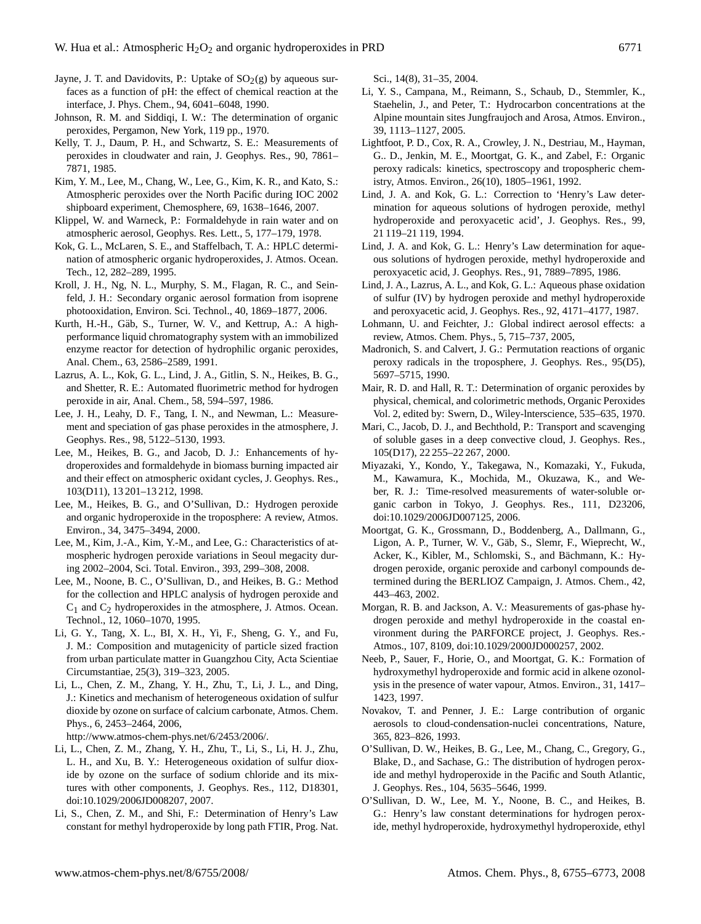- Jayne, J. T. and Davidovits, P.: Uptake of  $SO<sub>2</sub>(g)$  by aqueous surfaces as a function of pH: the effect of chemical reaction at the interface, J. Phys. Chem., 94, 6041–6048, 1990.
- Johnson, R. M. and Siddiqi, I. W.: The determination of organic peroxides, Pergamon, New York, 119 pp., 1970.
- Kelly, T. J., Daum, P. H., and Schwartz, S. E.: Measurements of peroxides in cloudwater and rain, J. Geophys. Res., 90, 7861– 7871, 1985.
- Kim, Y. M., Lee, M., Chang, W., Lee, G., Kim, K. R., and Kato, S.: Atmospheric peroxides over the North Pacific during IOC 2002 shipboard experiment, Chemosphere, 69, 1638–1646, 2007.
- Klippel, W. and Warneck, P.: Formaldehyde in rain water and on atmospheric aerosol, Geophys. Res. Lett., 5, 177–179, 1978.
- Kok, G. L., McLaren, S. E., and Staffelbach, T. A.: HPLC determination of atmospheric organic hydroperoxides, J. Atmos. Ocean. Tech., 12, 282–289, 1995.
- Kroll, J. H., Ng, N. L., Murphy, S. M., Flagan, R. C., and Seinfeld, J. H.: Secondary organic aerosol formation from isoprene photooxidation, Environ. Sci. Technol., 40, 1869–1877, 2006.
- Kurth, H.-H., Gäb, S., Turner, W. V., and Kettrup, A.: A highperformance liquid chromatography system with an immobilized enzyme reactor for detection of hydrophilic organic peroxides, Anal. Chem., 63, 2586–2589, 1991.
- Lazrus, A. L., Kok, G. L., Lind, J. A., Gitlin, S. N., Heikes, B. G., and Shetter, R. E.: Automated fluorimetric method for hydrogen peroxide in air, Anal. Chem., 58, 594–597, 1986.
- Lee, J. H., Leahy, D. F., Tang, I. N., and Newman, L.: Measurement and speciation of gas phase peroxides in the atmosphere, J. Geophys. Res., 98, 5122–5130, 1993.
- Lee, M., Heikes, B. G., and Jacob, D. J.: Enhancements of hydroperoxides and formaldehyde in biomass burning impacted air and their effect on atmospheric oxidant cycles, J. Geophys. Res., 103(D11), 13 201–13 212, 1998.
- Lee, M., Heikes, B. G., and O'Sullivan, D.: Hydrogen peroxide and organic hydroperoxide in the troposphere: A review, Atmos. Environ., 34, 3475–3494, 2000.
- Lee, M., Kim, J.-A., Kim, Y.-M., and Lee, G.: Characteristics of atmospheric hydrogen peroxide variations in Seoul megacity during 2002–2004, Sci. Total. Environ., 393, 299–308, 2008.
- Lee, M., Noone, B. C., O'Sullivan, D., and Heikes, B. G.: Method for the collection and HPLC analysis of hydrogen peroxide and  $C_1$  and  $C_2$  hydroperoxides in the atmosphere, J. Atmos. Ocean. Technol., 12, 1060–1070, 1995.
- Li, G. Y., Tang, X. L., BI, X. H., Yi, F., Sheng, G. Y., and Fu, J. M.: Composition and mutagenicity of particle sized fraction from urban particulate matter in Guangzhou City, Acta Scientiae Circumstantiae, 25(3), 319–323, 2005.
- Li, L., Chen, Z. M., Zhang, Y. H., Zhu, T., Li, J. L., and Ding, J.: Kinetics and mechanism of heterogeneous oxidation of sulfur dioxide by ozone on surface of calcium carbonate, Atmos. Chem. Phys., 6, 2453–2464, 2006,

[http://www.atmos-chem-phys.net/6/2453/2006/.](http://www.atmos-chem-phys.net/6/2453/2006/)

- Li, L., Chen, Z. M., Zhang, Y. H., Zhu, T., Li, S., Li, H. J., Zhu, L. H., and Xu, B. Y.: Heterogeneous oxidation of sulfur dioxide by ozone on the surface of sodium chloride and its mixtures with other components, J. Geophys. Res., 112, D18301, doi:10.1029/2006JD008207, 2007.
- Li, S., Chen, Z. M., and Shi, F.: Determination of Henry's Law constant for methyl hydroperoxide by long path FTIR, Prog. Nat.

Sci., 14(8), 31–35, 2004.

- Li, Y. S., Campana, M., Reimann, S., Schaub, D., Stemmler, K., Staehelin, J., and Peter, T.: Hydrocarbon concentrations at the Alpine mountain sites Jungfraujoch and Arosa, Atmos. Environ., 39, 1113–1127, 2005.
- Lightfoot, P. D., Cox, R. A., Crowley, J. N., Destriau, M., Hayman, G.. D., Jenkin, M. E., Moortgat, G. K., and Zabel, F.: Organic peroxy radicals: kinetics, spectroscopy and tropospheric chemistry, Atmos. Environ., 26(10), 1805–1961, 1992.
- Lind, J. A. and Kok, G. L.: Correction to 'Henry's Law determination for aqueous solutions of hydrogen peroxide, methyl hydroperoxide and peroxyacetic acid', J. Geophys. Res., 99, 21 119–21 119, 1994.
- Lind, J. A. and Kok, G. L.: Henry's Law determination for aqueous solutions of hydrogen peroxide, methyl hydroperoxide and peroxyacetic acid, J. Geophys. Res., 91, 7889–7895, 1986.
- Lind, J. A., Lazrus, A. L., and Kok, G. L.: Aqueous phase oxidation of sulfur (IV) by hydrogen peroxide and methyl hydroperoxide and peroxyacetic acid, J. Geophys. Res., 92, 4171–4177, 1987.
- Lohmann, U. and Feichter, J.: Global indirect aerosol effects: a review, Atmos. Chem. Phys., 5, 715–737, 2005,
- Madronich, S. and Calvert, J. G.: Permutation reactions of organic peroxy radicals in the troposphere, J. Geophys. Res., 95(D5), 5697–5715, 1990.
- Mair, R. D. and Hall, R. T.: Determination of organic peroxides by physical, chemical, and colorimetric methods, Organic Peroxides Vol. 2, edited by: Swern, D., Wiley-lnterscience, 535–635, 1970.
- Mari, C., Jacob, D. J., and Bechthold, P.: Transport and scavenging of soluble gases in a deep convective cloud, J. Geophys. Res., 105(D17), 22 255–22 267, 2000.
- Miyazaki, Y., Kondo, Y., Takegawa, N., Komazaki, Y., Fukuda, M., Kawamura, K., Mochida, M., Okuzawa, K., and Weber, R. J.: Time-resolved measurements of water-soluble organic carbon in Tokyo, J. Geophys. Res., 111, D23206, doi:10.1029/2006JD007125, 2006.
- Moortgat, G. K., Grossmann, D., Boddenberg, A., Dallmann, G., Ligon, A. P., Turner, W. V., Gäb, S., Slemr, F., Wieprecht, W., Acker, K., Kibler, M., Schlomski, S., and Bächmann, K.: Hydrogen peroxide, organic peroxide and carbonyl compounds determined during the BERLIOZ Campaign, J. Atmos. Chem., 42, 443–463, 2002.
- Morgan, R. B. and Jackson, A. V.: Measurements of gas-phase hydrogen peroxide and methyl hydroperoxide in the coastal environment during the PARFORCE project, J. Geophys. Res.- Atmos., 107, 8109, doi:10.1029/2000JD000257, 2002.
- Neeb, P., Sauer, F., Horie, O., and Moortgat, G. K.: Formation of hydroxymethyl hydroperoxide and formic acid in alkene ozonolysis in the presence of water vapour, Atmos. Environ., 31, 1417– 1423, 1997.
- Novakov, T. and Penner, J. E.: Large contribution of organic aerosols to cloud-condensation-nuclei concentrations, Nature, 365, 823–826, 1993.
- O'Sullivan, D. W., Heikes, B. G., Lee, M., Chang, C., Gregory, G., Blake, D., and Sachase, G.: The distribution of hydrogen peroxide and methyl hydroperoxide in the Pacific and South Atlantic, J. Geophys. Res., 104, 5635–5646, 1999.
- O'Sullivan, D. W., Lee, M. Y., Noone, B. C., and Heikes, B. G.: Henry's law constant determinations for hydrogen peroxide, methyl hydroperoxide, hydroxymethyl hydroperoxide, ethyl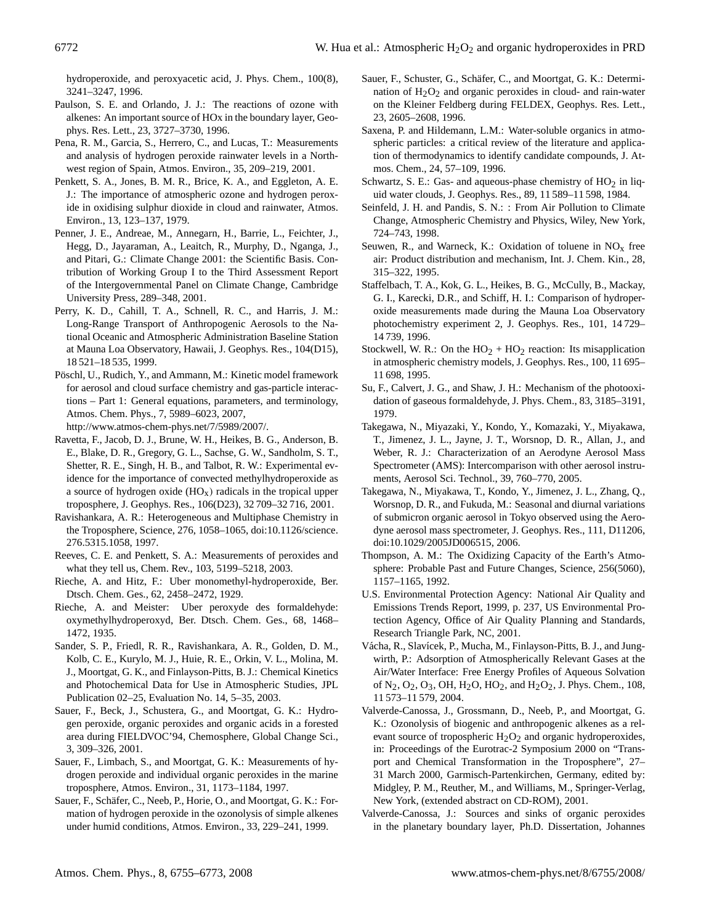hydroperoxide, and peroxyacetic acid, J. Phys. Chem., 100(8), 3241–3247, 1996.

- Paulson, S. E. and Orlando, J. J.: The reactions of ozone with alkenes: An important source of HOx in the boundary layer, Geophys. Res. Lett., 23, 3727–3730, 1996.
- Pena, R. M., Garcia, S., Herrero, C., and Lucas, T.: Measurements and analysis of hydrogen peroxide rainwater levels in a Northwest region of Spain, Atmos. Environ., 35, 209–219, 2001.
- Penkett, S. A., Jones, B. M. R., Brice, K. A., and Eggleton, A. E. J.: The importance of atmospheric ozone and hydrogen peroxide in oxidising sulphur dioxide in cloud and rainwater, Atmos. Environ., 13, 123–137, 1979.
- Penner, J. E., Andreae, M., Annegarn, H., Barrie, L., Feichter, J., Hegg, D., Jayaraman, A., Leaitch, R., Murphy, D., Nganga, J., and Pitari, G.: Climate Change 2001: the Scientific Basis. Contribution of Working Group I to the Third Assessment Report of the Intergovernmental Panel on Climate Change, Cambridge University Press, 289–348, 2001.
- Perry, K. D., Cahill, T. A., Schnell, R. C., and Harris, J. M.: Long-Range Transport of Anthropogenic Aerosols to the National Oceanic and Atmospheric Administration Baseline Station at Mauna Loa Observatory, Hawaii, J. Geophys. Res., 104(D15), 18 521–18 535, 1999.
- Pöschl, U., Rudich, Y., and Ammann, M.: Kinetic model framework for aerosol and cloud surface chemistry and gas-particle interactions – Part 1: General equations, parameters, and terminology, Atmos. Chem. Phys., 7, 5989–6023, 2007,

[http://www.atmos-chem-phys.net/7/5989/2007/.](http://www.atmos-chem-phys.net/7/5989/2007/)

- Ravetta, F., Jacob, D. J., Brune, W. H., Heikes, B. G., Anderson, B. E., Blake, D. R., Gregory, G. L., Sachse, G. W., Sandholm, S. T., Shetter, R. E., Singh, H. B., and Talbot, R. W.: Experimental evidence for the importance of convected methylhydroperoxide as a source of hydrogen oxide  $(HO_x)$  radicals in the tropical upper troposphere, J. Geophys. Res., 106(D23), 32 709–32 716, 2001.
- Ravishankara, A. R.: Heterogeneous and Multiphase Chemistry in the Troposphere, Science, 276, 1058–1065, doi:10.1126/science. 276.5315.1058, 1997.
- Reeves, C. E. and Penkett, S. A.: Measurements of peroxides and what they tell us, Chem. Rev., 103, 5199–5218, 2003.
- Rieche, A. and Hitz, F.: Uber monomethyl-hydroperoxide, Ber. Dtsch. Chem. Ges., 62, 2458–2472, 1929.
- Rieche, A. and Meister: Uber peroxyde des formaldehyde: oxymethylhydroperoxyd, Ber. Dtsch. Chem. Ges., 68, 1468– 1472, 1935.
- Sander, S. P., Friedl, R. R., Ravishankara, A. R., Golden, D. M., Kolb, C. E., Kurylo, M. J., Huie, R. E., Orkin, V. L., Molina, M. J., Moortgat, G. K., and Finlayson-Pitts, B. J.: Chemical Kinetics and Photochemical Data for Use in Atmospheric Studies, JPL Publication 02–25, Evaluation No. 14, 5–35, 2003.
- Sauer, F., Beck, J., Schustera, G., and Moortgat, G. K.: Hydrogen peroxide, organic peroxides and organic acids in a forested area during FIELDVOC'94, Chemosphere, Global Change Sci., 3, 309–326, 2001.
- Sauer, F., Limbach, S., and Moortgat, G. K.: Measurements of hydrogen peroxide and individual organic peroxides in the marine troposphere, Atmos. Environ., 31, 1173–1184, 1997.
- Sauer, F., Schäfer, C., Neeb, P., Horie, O., and Moortgat, G. K.: Formation of hydrogen peroxide in the ozonolysis of simple alkenes under humid conditions, Atmos. Environ., 33, 229–241, 1999.
- Sauer, F., Schuster, G., Schäfer, C., and Moortgat, G. K.: Determination of  $H_2O_2$  and organic peroxides in cloud- and rain-water on the Kleiner Feldberg during FELDEX, Geophys. Res. Lett., 23, 2605–2608, 1996.
- Saxena, P. and Hildemann, L.M.: Water-soluble organics in atmospheric particles: a critical review of the literature and application of thermodynamics to identify candidate compounds, J. Atmos. Chem., 24, 57–109, 1996.
- Schwartz, S. E.: Gas- and aqueous-phase chemistry of  $HO<sub>2</sub>$  in liquid water clouds, J. Geophys. Res., 89, 11 589–11 598, 1984.
- Seinfeld, J. H. and Pandis, S. N.: : From Air Pollution to Climate Change, Atmospheric Chemistry and Physics, Wiley, New York, 724–743, 1998.
- Seuwen, R., and Warneck, K.: Oxidation of toluene in  $NO<sub>x</sub>$  free air: Product distribution and mechanism, Int. J. Chem. Kin., 28, 315–322, 1995.
- Staffelbach, T. A., Kok, G. L., Heikes, B. G., McCully, B., Mackay, G. I., Karecki, D.R., and Schiff, H. I.: Comparison of hydroperoxide measurements made during the Mauna Loa Observatory photochemistry experiment 2, J. Geophys. Res., 101, 14 729– 14 739, 1996.
- Stockwell, W. R.: On the  $HO_2 + HO_2$  reaction: Its misapplication in atmospheric chemistry models, J. Geophys. Res., 100, 11 695– 11 698, 1995.
- Su, F., Calvert, J. G., and Shaw, J. H.: Mechanism of the photooxidation of gaseous formaldehyde, J. Phys. Chem., 83, 3185–3191, 1979.
- Takegawa, N., Miyazaki, Y., Kondo, Y., Komazaki, Y., Miyakawa, T., Jimenez, J. L., Jayne, J. T., Worsnop, D. R., Allan, J., and Weber, R. J.: Characterization of an Aerodyne Aerosol Mass Spectrometer (AMS): Intercomparison with other aerosol instruments, Aerosol Sci. Technol., 39, 760–770, 2005.
- Takegawa, N., Miyakawa, T., Kondo, Y., Jimenez, J. L., Zhang, Q., Worsnop, D. R., and Fukuda, M.: Seasonal and diurnal variations of submicron organic aerosol in Tokyo observed using the Aerodyne aerosol mass spectrometer, J. Geophys. Res., 111, D11206, doi:10.1029/2005JD006515, 2006.
- Thompson, A. M.: The Oxidizing Capacity of the Earth's Atmosphere: Probable Past and Future Changes, Science, 256(5060), 1157–1165, 1992.
- U.S. Environmental Protection Agency: National Air Quality and Emissions Trends Report, 1999, p. 237, US Environmental Protection Agency, Office of Air Quality Planning and Standards, Research Triangle Park, NC, 2001.
- Vácha, R., Slavícek, P., Mucha, M., Finlayson-Pitts, B. J., and Jungwirth, P.: Adsorption of Atmospherically Relevant Gases at the Air/Water Interface: Free Energy Profiles of Aqueous Solvation of  $N_2$ ,  $O_2$ ,  $O_3$ , OH,  $H_2O$ ,  $HO_2$ , and  $H_2O_2$ , J. Phys. Chem., 108, 11 573–11 579, 2004.
- Valverde-Canossa, J., Grossmann, D., Neeb, P., and Moortgat, G. K.: Ozonolysis of biogenic and anthropogenic alkenes as a relevant source of tropospheric  $H_2O_2$  and organic hydroperoxides, in: Proceedings of the Eurotrac-2 Symposium 2000 on "Transport and Chemical Transformation in the Troposphere", 27– 31 March 2000, Garmisch-Partenkirchen, Germany, edited by: Midgley, P. M., Reuther, M., and Williams, M., Springer-Verlag, New York, (extended abstract on CD-ROM), 2001.
- Valverde-Canossa, J.: Sources and sinks of organic peroxides in the planetary boundary layer, Ph.D. Dissertation, Johannes